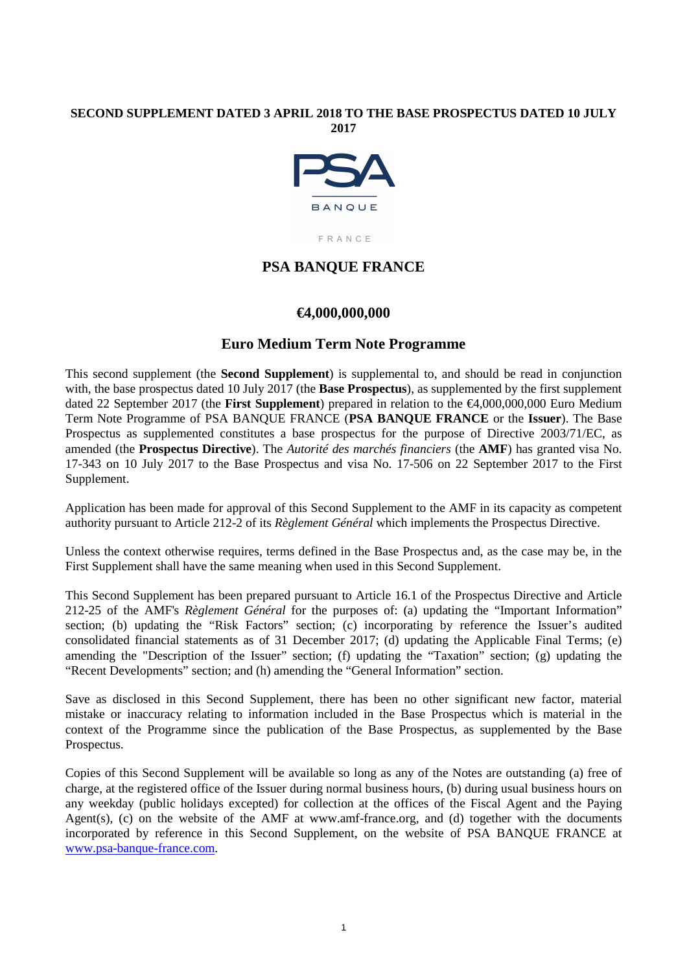### **SECOND SUPPLEMENT DATED 3 APRIL 2018 TO THE BASE PROSPECTUS DATED 10 JULY 2017**



FRANCE

## **PSA BANQUE FRANCE**

## **€4,000,000,000**

## **Euro Medium Term Note Programme**

This second supplement (the **Second Supplement**) is supplemental to, and should be read in conjunction with, the base prospectus dated 10 July 2017 (the **Base Prospectus**), as supplemented by the first supplement dated 22 September 2017 (the **First Supplement**) prepared in relation to the €4,000,000,000 Euro Medium Term Note Programme of PSA BANQUE FRANCE (**PSA BANQUE FRANCE** or the **Issuer**). The Base Prospectus as supplemented constitutes a base prospectus for the purpose of Directive 2003/71/EC, as amended (the **Prospectus Directive**). The *Autorité des marchés financiers* (the **AMF**) has granted visa No. 17-343 on 10 July 2017 to the Base Prospectus and visa No. 17-506 on 22 September 2017 to the First Supplement.

Application has been made for approval of this Second Supplement to the AMF in its capacity as competent authority pursuant to Article 212-2 of its *Règlement Général* which implements the Prospectus Directive.

Unless the context otherwise requires, terms defined in the Base Prospectus and, as the case may be, in the First Supplement shall have the same meaning when used in this Second Supplement.

This Second Supplement has been prepared pursuant to Article 16.1 of the Prospectus Directive and Article 212-25 of the AMF's *Règlement Général* for the purposes of: (a) updating the "Important Information" section; (b) updating the "Risk Factors" section; (c) incorporating by reference the Issuer's audited consolidated financial statements as of 31 December 2017; (d) updating the Applicable Final Terms; (e) amending the "Description of the Issuer" section; (f) updating the "Taxation" section; (g) updating the "Recent Developments" section; and (h) amending the "General Information" section.

Save as disclosed in this Second Supplement, there has been no other significant new factor, material mistake or inaccuracy relating to information included in the Base Prospectus which is material in the context of the Programme since the publication of the Base Prospectus, as supplemented by the Base Prospectus.

Copies of this Second Supplement will be available so long as any of the Notes are outstanding (a) free of charge, at the registered office of the Issuer during normal business hours, (b) during usual business hours on any weekday (public holidays excepted) for collection at the offices of the Fiscal Agent and the Paying Agent(s),  $(c)$  on the website of the AMF at www.amf-france.org, and (d) together with the documents incorporated by reference in this Second Supplement, on the website of PSA BANQUE FRANCE at www.psa-banque-france.com.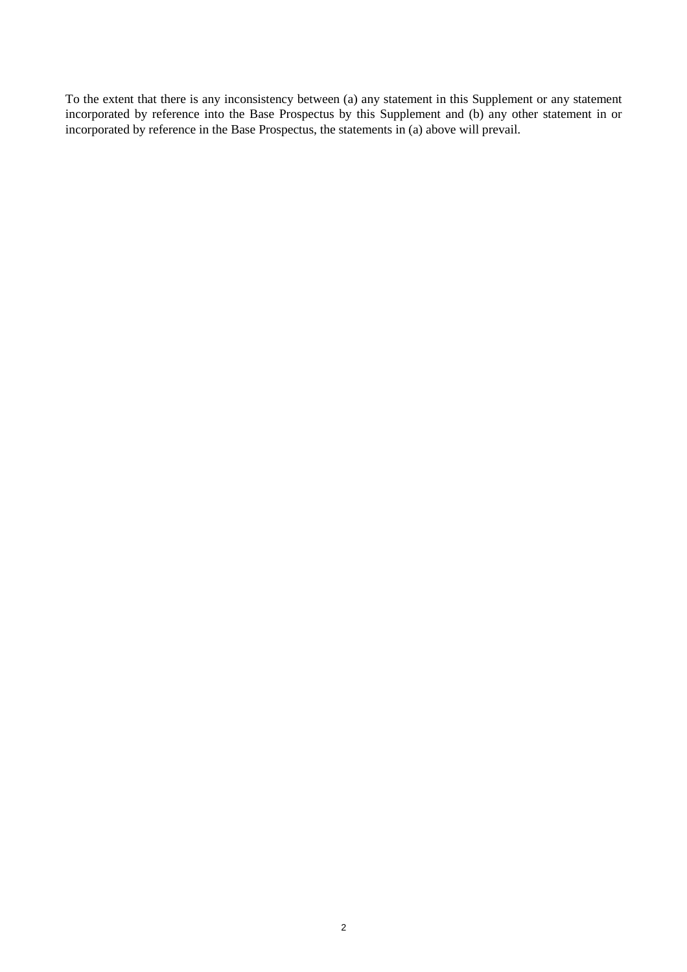To the extent that there is any inconsistency between (a) any statement in this Supplement or any statement incorporated by reference into the Base Prospectus by this Supplement and (b) any other statement in or incorporated by reference in the Base Prospectus, the statements in (a) above will prevail.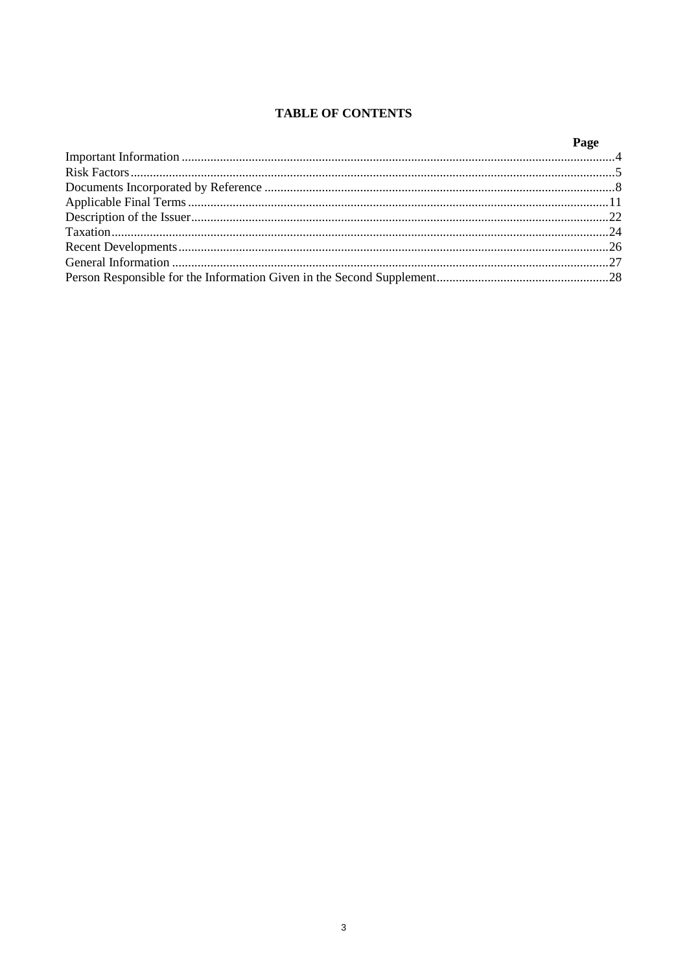## **TABLE OF CONTENTS**

| Page |
|------|
|      |
|      |
|      |
|      |
|      |
|      |
|      |
|      |
|      |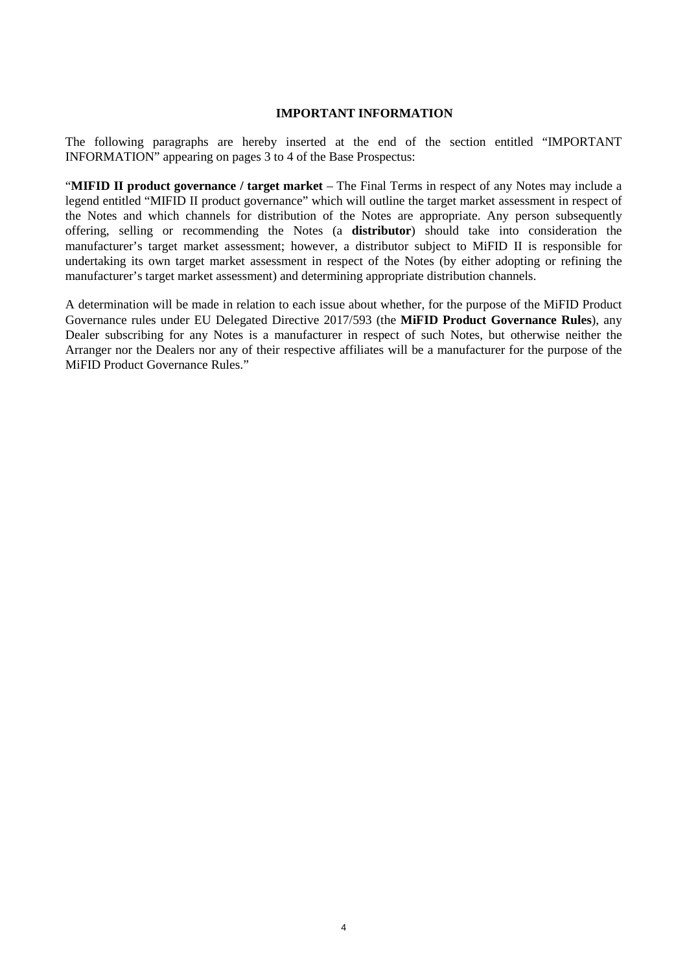#### **IMPORTANT INFORMATION**

The following paragraphs are hereby inserted at the end of the section entitled "IMPORTANT INFORMATION" appearing on pages 3 to 4 of the Base Prospectus:

"**MIFID II product governance / target market** – The Final Terms in respect of any Notes may include a legend entitled "MIFID II product governance" which will outline the target market assessment in respect of the Notes and which channels for distribution of the Notes are appropriate. Any person subsequently offering, selling or recommending the Notes (a **distributor**) should take into consideration the manufacturer's target market assessment; however, a distributor subject to MiFID II is responsible for undertaking its own target market assessment in respect of the Notes (by either adopting or refining the manufacturer's target market assessment) and determining appropriate distribution channels.

A determination will be made in relation to each issue about whether, for the purpose of the MiFID Product Governance rules under EU Delegated Directive 2017/593 (the **MiFID Product Governance Rules**), any Dealer subscribing for any Notes is a manufacturer in respect of such Notes, but otherwise neither the Arranger nor the Dealers nor any of their respective affiliates will be a manufacturer for the purpose of the MiFID Product Governance Rules."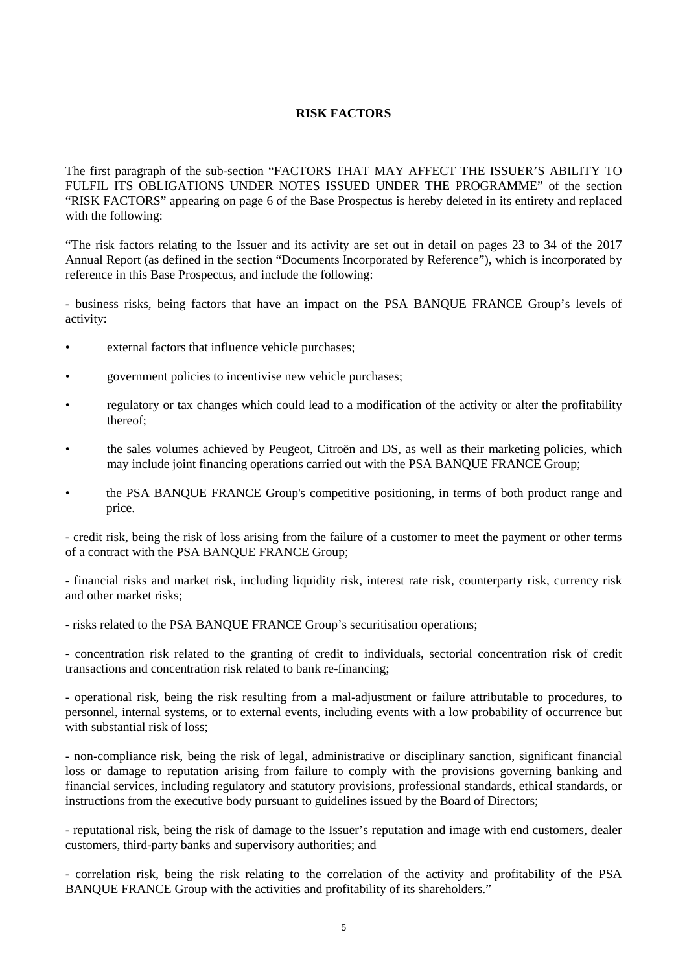## **RISK FACTORS**

The first paragraph of the sub-section "FACTORS THAT MAY AFFECT THE ISSUER'S ABILITY TO FULFIL ITS OBLIGATIONS UNDER NOTES ISSUED UNDER THE PROGRAMME" of the section "RISK FACTORS" appearing on page 6 of the Base Prospectus is hereby deleted in its entirety and replaced with the following:

"The risk factors relating to the Issuer and its activity are set out in detail on pages 23 to 34 of the 2017 Annual Report (as defined in the section "Documents Incorporated by Reference"), which is incorporated by reference in this Base Prospectus, and include the following:

- business risks, being factors that have an impact on the PSA BANQUE FRANCE Group's levels of activity:

- external factors that influence vehicle purchases;
- government policies to incentivise new vehicle purchases;
- regulatory or tax changes which could lead to a modification of the activity or alter the profitability thereof;
- the sales volumes achieved by Peugeot, Citroën and DS, as well as their marketing policies, which may include joint financing operations carried out with the PSA BANQUE FRANCE Group;
- the PSA BANQUE FRANCE Group's competitive positioning, in terms of both product range and price.

- credit risk, being the risk of loss arising from the failure of a customer to meet the payment or other terms of a contract with the PSA BANQUE FRANCE Group;

- financial risks and market risk, including liquidity risk, interest rate risk, counterparty risk, currency risk and other market risks;

- risks related to the PSA BANQUE FRANCE Group's securitisation operations;

- concentration risk related to the granting of credit to individuals, sectorial concentration risk of credit transactions and concentration risk related to bank re-financing;

- operational risk, being the risk resulting from a mal-adjustment or failure attributable to procedures, to personnel, internal systems, or to external events, including events with a low probability of occurrence but with substantial risk of loss:

- non-compliance risk, being the risk of legal, administrative or disciplinary sanction, significant financial loss or damage to reputation arising from failure to comply with the provisions governing banking and financial services, including regulatory and statutory provisions, professional standards, ethical standards, or instructions from the executive body pursuant to guidelines issued by the Board of Directors;

- reputational risk, being the risk of damage to the Issuer's reputation and image with end customers, dealer customers, third-party banks and supervisory authorities; and

- correlation risk, being the risk relating to the correlation of the activity and profitability of the PSA BANQUE FRANCE Group with the activities and profitability of its shareholders."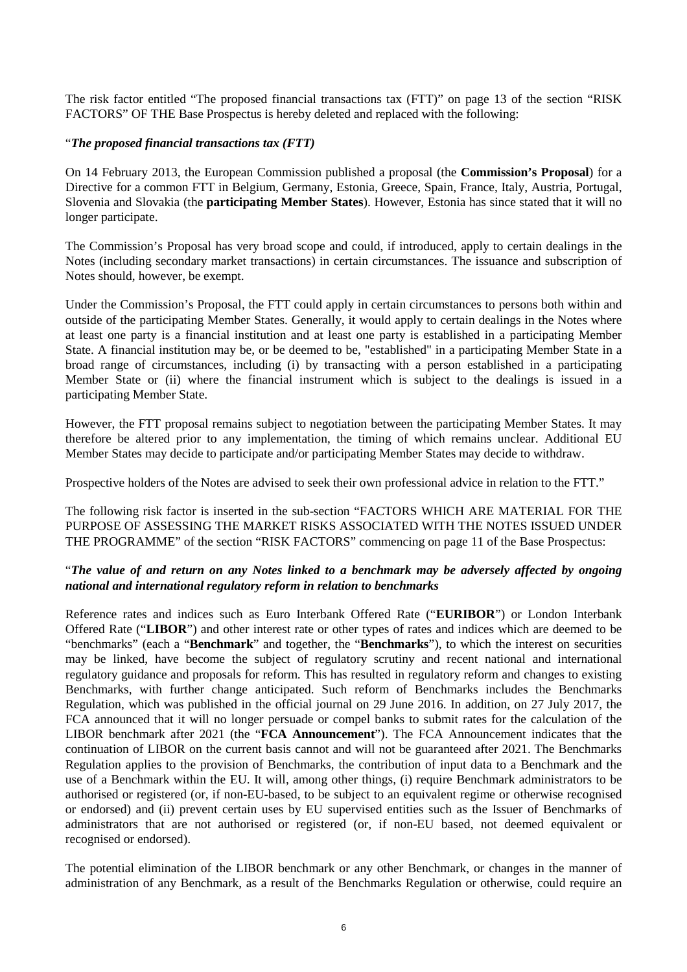The risk factor entitled "The proposed financial transactions tax (FTT)" on page 13 of the section "RISK FACTORS" OF THE Base Prospectus is hereby deleted and replaced with the following:

#### "*The proposed financial transactions tax (FTT)*

On 14 February 2013, the European Commission published a proposal (the **Commission's Proposal**) for a Directive for a common FTT in Belgium, Germany, Estonia, Greece, Spain, France, Italy, Austria, Portugal, Slovenia and Slovakia (the **participating Member States**). However, Estonia has since stated that it will no longer participate.

The Commission's Proposal has very broad scope and could, if introduced, apply to certain dealings in the Notes (including secondary market transactions) in certain circumstances. The issuance and subscription of Notes should, however, be exempt.

Under the Commission's Proposal, the FTT could apply in certain circumstances to persons both within and outside of the participating Member States. Generally, it would apply to certain dealings in the Notes where at least one party is a financial institution and at least one party is established in a participating Member State. A financial institution may be, or be deemed to be, "established" in a participating Member State in a broad range of circumstances, including (i) by transacting with a person established in a participating Member State or (ii) where the financial instrument which is subject to the dealings is issued in a participating Member State.

However, the FTT proposal remains subject to negotiation between the participating Member States. It may therefore be altered prior to any implementation, the timing of which remains unclear. Additional EU Member States may decide to participate and/or participating Member States may decide to withdraw.

Prospective holders of the Notes are advised to seek their own professional advice in relation to the FTT."

The following risk factor is inserted in the sub-section "FACTORS WHICH ARE MATERIAL FOR THE PURPOSE OF ASSESSING THE MARKET RISKS ASSOCIATED WITH THE NOTES ISSUED UNDER THE PROGRAMME" of the section "RISK FACTORS" commencing on page 11 of the Base Prospectus:

### "*The value of and return on any Notes linked to a benchmark may be adversely affected by ongoing national and international regulatory reform in relation to benchmarks*

Reference rates and indices such as Euro Interbank Offered Rate ("**EURIBOR**") or London Interbank Offered Rate ("**LIBOR**") and other interest rate or other types of rates and indices which are deemed to be "benchmarks" (each a "**Benchmark**" and together, the "**Benchmarks**"), to which the interest on securities may be linked, have become the subject of regulatory scrutiny and recent national and international regulatory guidance and proposals for reform. This has resulted in regulatory reform and changes to existing Benchmarks, with further change anticipated. Such reform of Benchmarks includes the Benchmarks Regulation, which was published in the official journal on 29 June 2016. In addition, on 27 July 2017, the FCA announced that it will no longer persuade or compel banks to submit rates for the calculation of the LIBOR benchmark after 2021 (the "**FCA Announcement**"). The FCA Announcement indicates that the continuation of LIBOR on the current basis cannot and will not be guaranteed after 2021. The Benchmarks Regulation applies to the provision of Benchmarks, the contribution of input data to a Benchmark and the use of a Benchmark within the EU. It will, among other things, (i) require Benchmark administrators to be authorised or registered (or, if non-EU-based, to be subject to an equivalent regime or otherwise recognised or endorsed) and (ii) prevent certain uses by EU supervised entities such as the Issuer of Benchmarks of administrators that are not authorised or registered (or, if non-EU based, not deemed equivalent or recognised or endorsed).

The potential elimination of the LIBOR benchmark or any other Benchmark, or changes in the manner of administration of any Benchmark, as a result of the Benchmarks Regulation or otherwise, could require an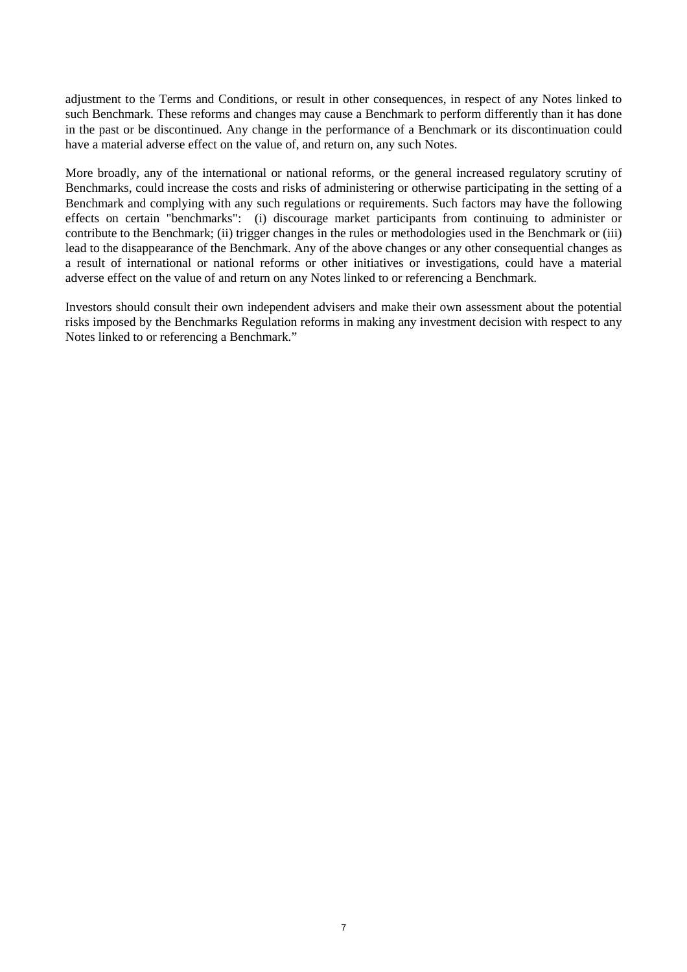adjustment to the Terms and Conditions, or result in other consequences, in respect of any Notes linked to such Benchmark. These reforms and changes may cause a Benchmark to perform differently than it has done in the past or be discontinued. Any change in the performance of a Benchmark or its discontinuation could have a material adverse effect on the value of, and return on, any such Notes.

More broadly, any of the international or national reforms, or the general increased regulatory scrutiny of Benchmarks, could increase the costs and risks of administering or otherwise participating in the setting of a Benchmark and complying with any such regulations or requirements. Such factors may have the following effects on certain "benchmarks": (i) discourage market participants from continuing to administer or contribute to the Benchmark; (ii) trigger changes in the rules or methodologies used in the Benchmark or (iii) lead to the disappearance of the Benchmark. Any of the above changes or any other consequential changes as a result of international or national reforms or other initiatives or investigations, could have a material adverse effect on the value of and return on any Notes linked to or referencing a Benchmark.

Investors should consult their own independent advisers and make their own assessment about the potential risks imposed by the Benchmarks Regulation reforms in making any investment decision with respect to any Notes linked to or referencing a Benchmark."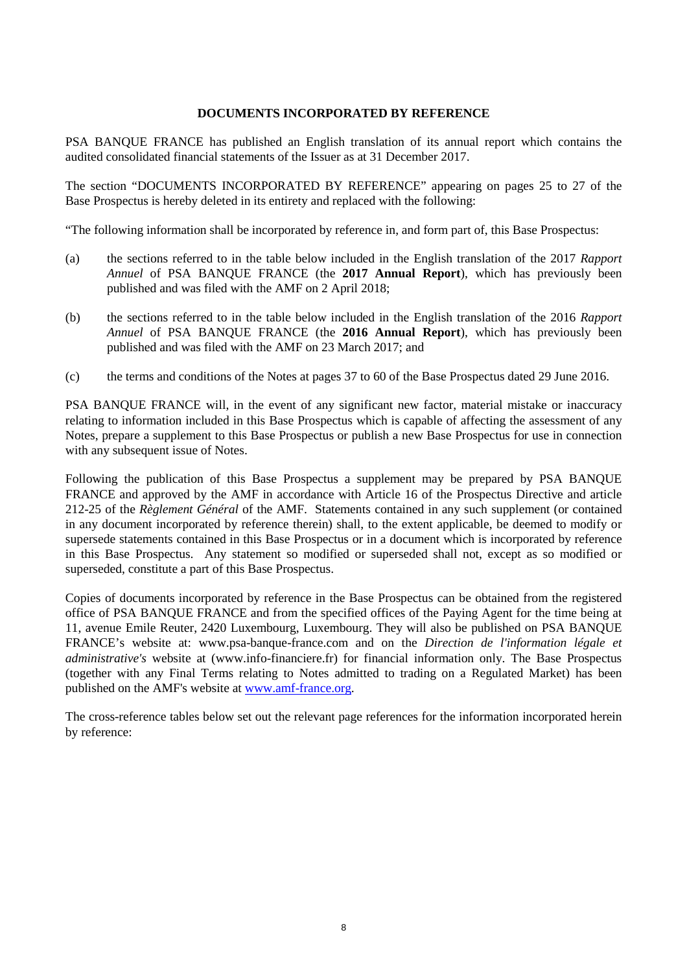#### **DOCUMENTS INCORPORATED BY REFERENCE**

PSA BANQUE FRANCE has published an English translation of its annual report which contains the audited consolidated financial statements of the Issuer as at 31 December 2017.

The section "DOCUMENTS INCORPORATED BY REFERENCE" appearing on pages 25 to 27 of the Base Prospectus is hereby deleted in its entirety and replaced with the following:

"The following information shall be incorporated by reference in, and form part of, this Base Prospectus:

- (a) the sections referred to in the table below included in the English translation of the 2017 *Rapport Annuel* of PSA BANQUE FRANCE (the **2017 Annual Report**), which has previously been published and was filed with the AMF on 2 April 2018;
- (b) the sections referred to in the table below included in the English translation of the 2016 *Rapport Annuel* of PSA BANQUE FRANCE (the **2016 Annual Report**), which has previously been published and was filed with the AMF on 23 March 2017; and
- (c) the terms and conditions of the Notes at pages 37 to 60 of the Base Prospectus dated 29 June 2016.

PSA BANQUE FRANCE will, in the event of any significant new factor, material mistake or inaccuracy relating to information included in this Base Prospectus which is capable of affecting the assessment of any Notes, prepare a supplement to this Base Prospectus or publish a new Base Prospectus for use in connection with any subsequent issue of Notes.

Following the publication of this Base Prospectus a supplement may be prepared by PSA BANQUE FRANCE and approved by the AMF in accordance with Article 16 of the Prospectus Directive and article 212-25 of the *Règlement Général* of the AMF. Statements contained in any such supplement (or contained in any document incorporated by reference therein) shall, to the extent applicable, be deemed to modify or supersede statements contained in this Base Prospectus or in a document which is incorporated by reference in this Base Prospectus. Any statement so modified or superseded shall not, except as so modified or superseded, constitute a part of this Base Prospectus.

Copies of documents incorporated by reference in the Base Prospectus can be obtained from the registered office of PSA BANQUE FRANCE and from the specified offices of the Paying Agent for the time being at 11, avenue Emile Reuter, 2420 Luxembourg, Luxembourg. They will also be published on PSA BANQUE FRANCE's website at: www.psa-banque-france.com and on the *Direction de l'information légale et administrative's* website at (www.info-financiere.fr) for financial information only. The Base Prospectus (together with any Final Terms relating to Notes admitted to trading on a Regulated Market) has been published on the AMF's website at www.amf-france.org.

The cross-reference tables below set out the relevant page references for the information incorporated herein by reference: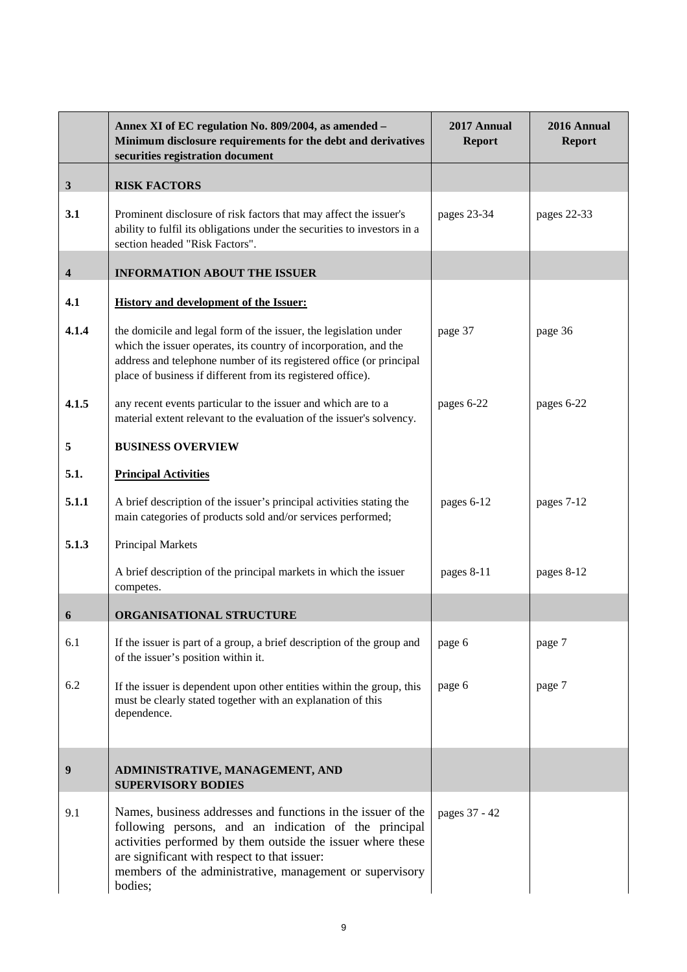|              | Annex XI of EC regulation No. 809/2004, as amended -<br>Minimum disclosure requirements for the debt and derivatives<br>securities registration document                                                                                                                                                    | 2017 Annual<br><b>Report</b> | 2016 Annual<br><b>Report</b> |
|--------------|-------------------------------------------------------------------------------------------------------------------------------------------------------------------------------------------------------------------------------------------------------------------------------------------------------------|------------------------------|------------------------------|
| $\mathbf{3}$ | <b>RISK FACTORS</b>                                                                                                                                                                                                                                                                                         |                              |                              |
| 3.1          | Prominent disclosure of risk factors that may affect the issuer's<br>ability to fulfil its obligations under the securities to investors in a<br>section headed "Risk Factors".                                                                                                                             | pages 23-34                  | pages 22-33                  |
| 4            | <b>INFORMATION ABOUT THE ISSUER</b>                                                                                                                                                                                                                                                                         |                              |                              |
| 4.1          | <b>History and development of the Issuer:</b>                                                                                                                                                                                                                                                               |                              |                              |
| 4.1.4        | the domicile and legal form of the issuer, the legislation under<br>which the issuer operates, its country of incorporation, and the<br>address and telephone number of its registered office (or principal<br>place of business if different from its registered office).                                  | page 37                      | page 36                      |
| 4.1.5        | any recent events particular to the issuer and which are to a<br>material extent relevant to the evaluation of the issuer's solvency.                                                                                                                                                                       | pages 6-22                   | pages 6-22                   |
| 5            | <b>BUSINESS OVERVIEW</b>                                                                                                                                                                                                                                                                                    |                              |                              |
| 5.1.         | <b>Principal Activities</b>                                                                                                                                                                                                                                                                                 |                              |                              |
| 5.1.1        | A brief description of the issuer's principal activities stating the<br>main categories of products sold and/or services performed;                                                                                                                                                                         | pages 6-12                   | pages 7-12                   |
| 5.1.3        | <b>Principal Markets</b>                                                                                                                                                                                                                                                                                    |                              |                              |
|              | A brief description of the principal markets in which the issuer<br>competes.                                                                                                                                                                                                                               | pages 8-11                   | pages 8-12                   |
| 6            | ORGANISATIONAL STRUCTURE                                                                                                                                                                                                                                                                                    |                              |                              |
| 6.1          | If the issuer is part of a group, a brief description of the group and<br>of the issuer's position within it.                                                                                                                                                                                               | page 6                       | page 7                       |
| 6.2          | If the issuer is dependent upon other entities within the group, this<br>must be clearly stated together with an explanation of this<br>dependence.                                                                                                                                                         | page 6                       | page 7                       |
| 9            | ADMINISTRATIVE, MANAGEMENT, AND<br><b>SUPERVISORY BODIES</b>                                                                                                                                                                                                                                                |                              |                              |
| 9.1          | Names, business addresses and functions in the issuer of the<br>following persons, and an indication of the principal<br>activities performed by them outside the issuer where these<br>are significant with respect to that issuer:<br>members of the administrative, management or supervisory<br>bodies; | pages 37 - 42                |                              |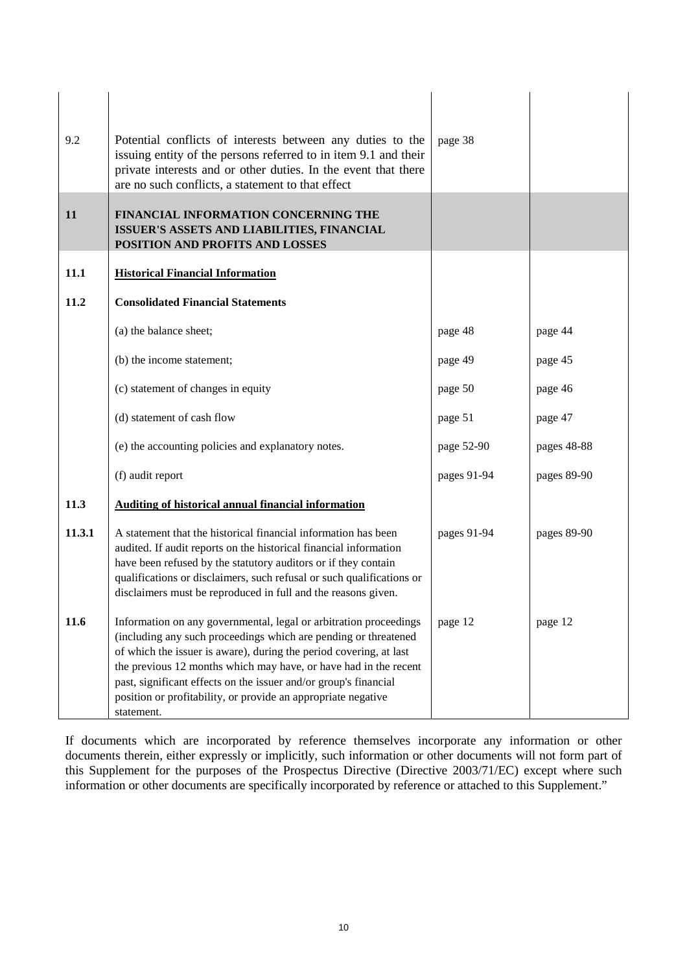| 9.2<br><b>11</b> | Potential conflicts of interests between any duties to the<br>issuing entity of the persons referred to in item 9.1 and their<br>private interests and or other duties. In the event that there<br>are no such conflicts, a statement to that effect<br>FINANCIAL INFORMATION CONCERNING THE<br>ISSUER'S ASSETS AND LIABILITIES, FINANCIAL<br>POSITION AND PROFITS AND LOSSES                                                     | page 38     |             |
|------------------|-----------------------------------------------------------------------------------------------------------------------------------------------------------------------------------------------------------------------------------------------------------------------------------------------------------------------------------------------------------------------------------------------------------------------------------|-------------|-------------|
| 11.1             | <b>Historical Financial Information</b>                                                                                                                                                                                                                                                                                                                                                                                           |             |             |
| 11.2             | <b>Consolidated Financial Statements</b>                                                                                                                                                                                                                                                                                                                                                                                          |             |             |
|                  | (a) the balance sheet;                                                                                                                                                                                                                                                                                                                                                                                                            | page 48     | page 44     |
|                  | (b) the income statement;                                                                                                                                                                                                                                                                                                                                                                                                         | page 49     | page 45     |
|                  | (c) statement of changes in equity                                                                                                                                                                                                                                                                                                                                                                                                | page 50     | page 46     |
|                  | (d) statement of cash flow                                                                                                                                                                                                                                                                                                                                                                                                        | page 51     | page 47     |
|                  | (e) the accounting policies and explanatory notes.                                                                                                                                                                                                                                                                                                                                                                                | page 52-90  | pages 48-88 |
|                  | (f) audit report                                                                                                                                                                                                                                                                                                                                                                                                                  | pages 91-94 | pages 89-90 |
| 11.3             | <b>Auditing of historical annual financial information</b>                                                                                                                                                                                                                                                                                                                                                                        |             |             |
| 11.3.1           | A statement that the historical financial information has been<br>audited. If audit reports on the historical financial information<br>have been refused by the statutory auditors or if they contain<br>qualifications or disclaimers, such refusal or such qualifications or<br>disclaimers must be reproduced in full and the reasons given.                                                                                   | pages 91-94 | pages 89-90 |
| 11.6             | Information on any governmental, legal or arbitration proceedings<br>(including any such proceedings which are pending or threatened<br>of which the issuer is aware), during the period covering, at last<br>the previous 12 months which may have, or have had in the recent<br>past, significant effects on the issuer and/or group's financial<br>position or profitability, or provide an appropriate negative<br>statement. | page 12     | page 12     |

If documents which are incorporated by reference themselves incorporate any information or other documents therein, either expressly or implicitly, such information or other documents will not form part of this Supplement for the purposes of the Prospectus Directive (Directive 2003/71/EC) except where such information or other documents are specifically incorporated by reference or attached to this Supplement."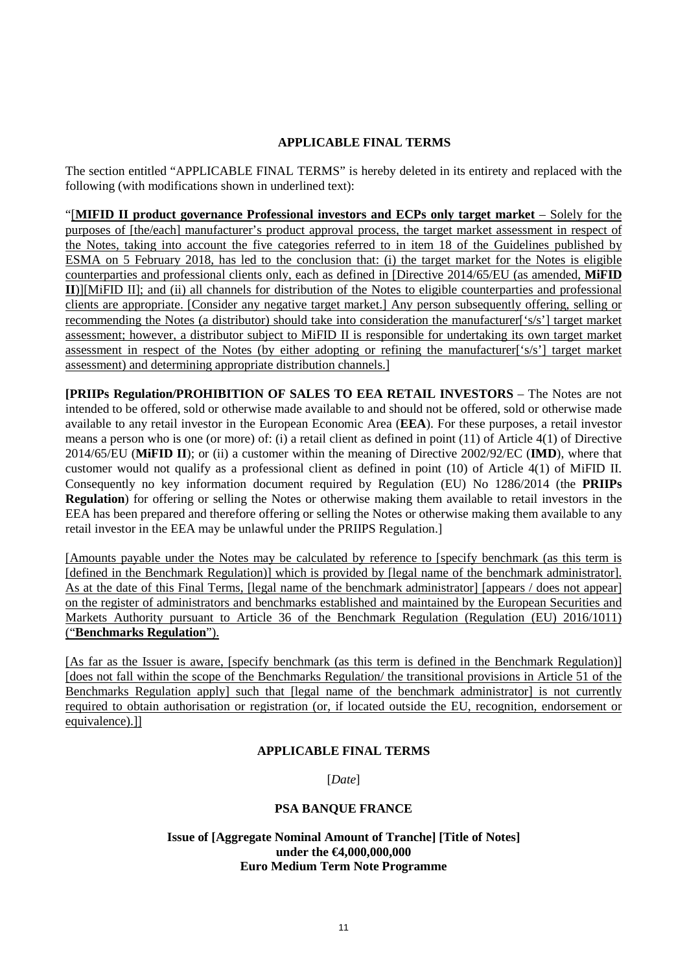#### **APPLICABLE FINAL TERMS**

The section entitled "APPLICABLE FINAL TERMS" is hereby deleted in its entirety and replaced with the following (with modifications shown in underlined text):

"[**MIFID II product governance Professional investors and ECPs only target market** – Solely for the purposes of [the/each] manufacturer's product approval process, the target market assessment in respect of the Notes, taking into account the five categories referred to in item 18 of the Guidelines published by ESMA on 5 February 2018, has led to the conclusion that: (i) the target market for the Notes is eligible counterparties and professional clients only, each as defined in [Directive 2014/65/EU (as amended, **MiFID II**)][MiFID II]; and (ii) all channels for distribution of the Notes to eligible counterparties and professional clients are appropriate. [Consider any negative target market.] Any person subsequently offering, selling or recommending the Notes (a distributor) should take into consideration the manufacturer['s/s'] target market assessment; however, a distributor subject to MiFID II is responsible for undertaking its own target market assessment in respect of the Notes (by either adopting or refining the manufacturer['s/s'] target market assessment) and determining appropriate distribution channels.]

**[PRIIPs Regulation/PROHIBITION OF SALES TO EEA RETAIL INVESTORS** – The Notes are not intended to be offered, sold or otherwise made available to and should not be offered, sold or otherwise made available to any retail investor in the European Economic Area (**EEA**). For these purposes, a retail investor means a person who is one (or more) of: (i) a retail client as defined in point (11) of Article 4(1) of Directive 2014/65/EU (**MiFID II**); or (ii) a customer within the meaning of Directive 2002/92/EC (**IMD**), where that customer would not qualify as a professional client as defined in point (10) of Article 4(1) of MiFID II. Consequently no key information document required by Regulation (EU) No 1286/2014 (the **PRIIPs Regulation**) for offering or selling the Notes or otherwise making them available to retail investors in the EEA has been prepared and therefore offering or selling the Notes or otherwise making them available to any retail investor in the EEA may be unlawful under the PRIIPS Regulation.]

[Amounts payable under the Notes may be calculated by reference to [specify benchmark (as this term is [defined in the Benchmark Regulation]] which is provided by [legal name of the benchmark administrator]. As at the date of this Final Terms, [legal name of the benchmark administrator] [appears / does not appear] on the register of administrators and benchmarks established and maintained by the European Securities and Markets Authority pursuant to Article 36 of the Benchmark Regulation (Regulation (EU) 2016/1011) ("**Benchmarks Regulation**").

[As far as the Issuer is aware, [specify benchmark (as this term is defined in the Benchmark Regulation)] [does not fall within the scope of the Benchmarks Regulation/ the transitional provisions in Article 51 of the Benchmarks Regulation apply] such that [legal name of the benchmark administrator] is not currently required to obtain authorisation or registration (or, if located outside the EU, recognition, endorsement or equivalence).]]

#### **APPLICABLE FINAL TERMS**

[*Date*]

#### **PSA BANQUE FRANCE**

#### **Issue of [Aggregate Nominal Amount of Tranche] [Title of Notes] under the €4,000,000,000 Euro Medium Term Note Programme**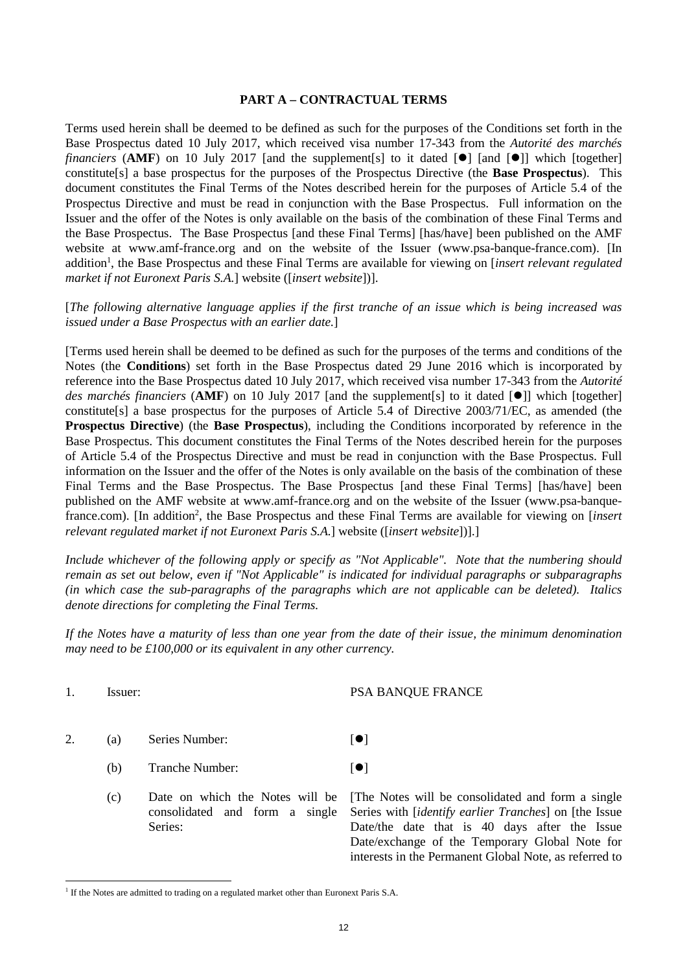#### **PART A – CONTRACTUAL TERMS**

Terms used herein shall be deemed to be defined as such for the purposes of the Conditions set forth in the Base Prospectus dated 10 July 2017, which received visa number 17-343 from the *Autorité des marchés financiers* (AMF) on 10 July 2017 [and the supplement[s] to it dated  $[0]$  [and  $[0]$ ] which [together] constitute[s] a base prospectus for the purposes of the Prospectus Directive (the **Base Prospectus**). This document constitutes the Final Terms of the Notes described herein for the purposes of Article 5.4 of the Prospectus Directive and must be read in conjunction with the Base Prospectus. Full information on the Issuer and the offer of the Notes is only available on the basis of the combination of these Final Terms and the Base Prospectus. The Base Prospectus [and these Final Terms] [has/have] been published on the AMF website at www.amf-france.org and on the website of the Issuer (www.psa-banque-france.com). [In addition<sup>1</sup>, the Base Prospectus and these Final Terms are available for viewing on [*insert relevant regulated market if not Euronext Paris S.A.*] website ([*insert website*])].

[*The following alternative language applies if the first tranche of an issue which is being increased was issued under a Base Prospectus with an earlier date.*]

[Terms used herein shall be deemed to be defined as such for the purposes of the terms and conditions of the Notes (the **Conditions**) set forth in the Base Prospectus dated 29 June 2016 which is incorporated by reference into the Base Prospectus dated 10 July 2017, which received visa number 17-343 from the *Autorité des marchés financiers* (AMF) on 10 July 2017 [and the supplement[s] to it dated [<sup>0</sup>]] which [together] constitute[s] a base prospectus for the purposes of Article 5.4 of Directive 2003/71/EC, as amended (the **Prospectus Directive**) (the **Base Prospectus**), including the Conditions incorporated by reference in the Base Prospectus. This document constitutes the Final Terms of the Notes described herein for the purposes of Article 5.4 of the Prospectus Directive and must be read in conjunction with the Base Prospectus. Full information on the Issuer and the offer of the Notes is only available on the basis of the combination of these Final Terms and the Base Prospectus. The Base Prospectus [and these Final Terms] [has/have] been published on the AMF website at www.amf-france.org and on the website of the Issuer (www.psa-banquefrance.com). [In addition<sup>2</sup>, the Base Prospectus and these Final Terms are available for viewing on [*insert relevant regulated market if not Euronext Paris S.A.*] website ([*insert website*])].]

*Include whichever of the following apply or specify as "Not Applicable". Note that the numbering should remain as set out below, even if "Not Applicable" is indicated for individual paragraphs or subparagraphs (in which case the sub-paragraphs of the paragraphs which are not applicable can be deleted). Italics denote directions for completing the Final Terms.*

*If the Notes have a maturity of less than one year from the date of their issue, the minimum denomination may need to be £100,000 or its equivalent in any other currency.*

 $\overline{a}$ 

#### 1. Issuer: PSA BANQUE FRANCE

- 2. (a) Series Number:  $\lceil \bullet \rceil$ 
	- (b) Tranche Number:  $\lceil \bullet \rceil$
	- (c) Date on which the Notes will be consolidated and form a single Series:

[The Notes will be consolidated and form a single Series with [*identify earlier Tranches*] on [the Issue Date/the date that is 40 days after the Issue Date/exchange of the Temporary Global Note for interests in the Permanent Global Note, as referred to

<sup>&</sup>lt;sup>1</sup> If the Notes are admitted to trading on a regulated market other than Euronext Paris S.A.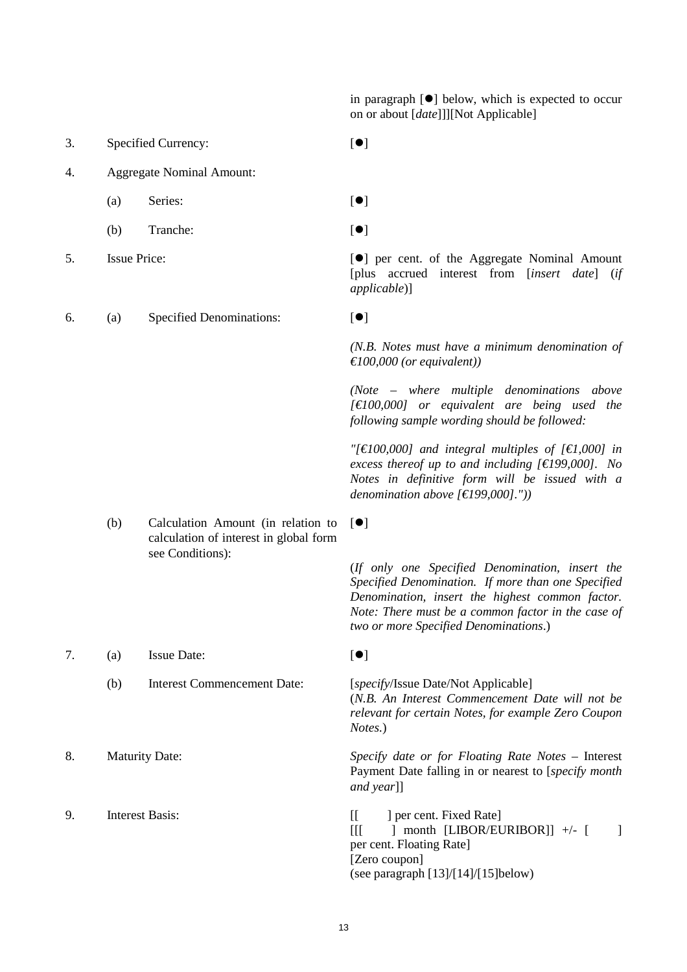in paragraph  $[\bullet]$  below, which is expected to occur on or about [*date*]]][Not Applicable]

- 3. Specified Currency:  $\lceil \bullet \rceil$
- 4. Aggregate Nominal Amount:
	- (a) Series:  $[①]$
	- (b) Tranche:  $\lceil \bullet \rceil$
- 
- 6. (a) Specified Denominations:  $[•]$

- 
- 

5. Issue Price:  $\lceil \bullet \rceil$  per cent. of the Aggregate Nominal Amount [plus accrued interest from [*insert date*] (*if applicable*)]

*(N.B. Notes must have a minimum denomination of €100,000 (or equivalent))*

*(Note – where multiple denominations above [€100,000] or equivalent are being used the following sample wording should be followed:*

*"[€100,000] and integral multiples of [€1,000] in excess thereof up to and including [€199,000]. No Notes in definitive form will be issued with a denomination above [€199,000]."))*

- (b) Calculation Amount (in relation to calculation of interest in global form see Conditions):
- -
- 
- 

 $[•]$ 

(*If only one Specified Denomination, insert the Specified Denomination. If more than one Specified Denomination, insert the highest common factor. Note: There must be a common factor in the case of two or more Specified Denominations*.)

7. (a) Issue Date:  $[①]$ 

(b) Interest Commencement Date: [*specify*/Issue Date/Not Applicable] (*N.B. An Interest Commencement Date will not be relevant for certain Notes, for example Zero Coupon Notes.*)

8. Maturity Date: *Specify date or for Floating Rate Notes* – Interest Payment Date falling in or nearest to [*specify month and year*]]

9. Interest Basis: [[ ] per cent. Fixed Rate]  $[[[] \quad] \quad \text{month} \quad [LIBOR/EURIBOR]] \quad +/- \quad [ \quad]$ per cent. Floating Rate] [Zero coupon] (see paragraph [13]/[14]/[15]below)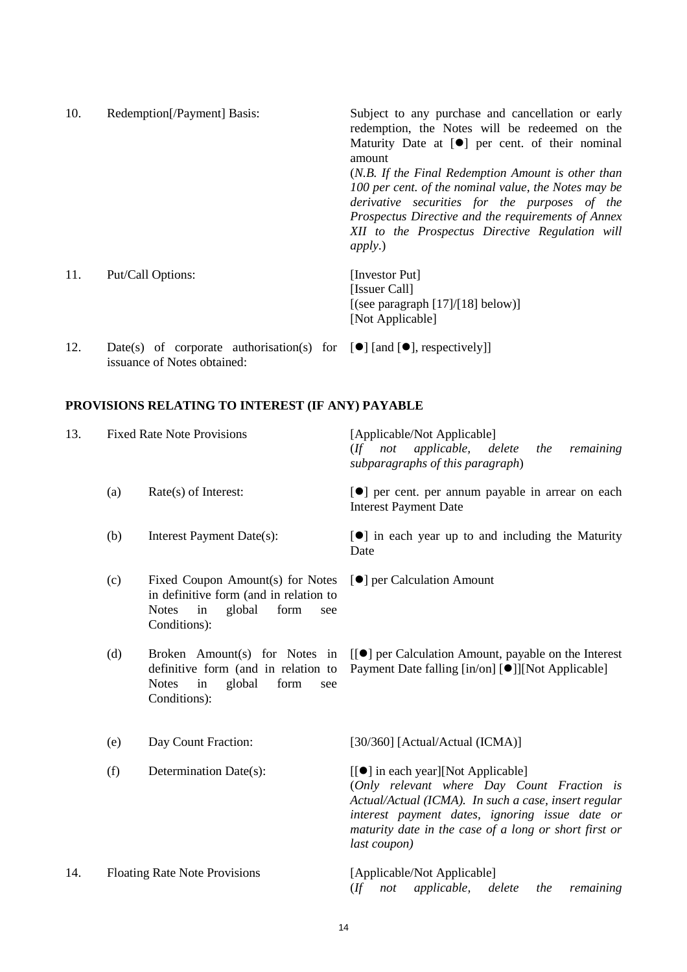| 10. | Redemption[/Payment] Basis:                                                                                            | Subject to any purchase and cancellation or early<br>redemption, the Notes will be redeemed on the    |
|-----|------------------------------------------------------------------------------------------------------------------------|-------------------------------------------------------------------------------------------------------|
|     |                                                                                                                        | Maturity Date at $[\bullet]$ per cent. of their nominal<br>amount                                     |
|     |                                                                                                                        | (N.B. If the Final Redemption Amount is other than                                                    |
|     |                                                                                                                        | 100 per cent. of the nominal value, the Notes may be<br>derivative securities for the purposes of the |
|     |                                                                                                                        | Prospectus Directive and the requirements of Annex                                                    |
|     |                                                                                                                        | XII to the Prospectus Directive Regulation will<br>apply.)                                            |
| 11. | Put/Call Options:                                                                                                      | [Investor Put]                                                                                        |
|     |                                                                                                                        | [Issuer Call]                                                                                         |
|     |                                                                                                                        | [(see paragraph $[17]/[18]$ below)]                                                                   |
|     |                                                                                                                        | [Not Applicable]                                                                                      |
| 12. | Date(s) of corporate authorisation(s) for $[\bullet]$ [and $[\bullet]$ , respectively]]<br>issuance of Notes obtained: |                                                                                                       |

# **PROVISIONS RELATING TO INTEREST (IF ANY) PAYABLE**

| 13. | <b>Fixed Rate Note Provisions</b> |                                                                                                                                           | [Applicable/Not Applicable]<br>applicable,<br>not<br>remaining<br>$($ ff<br>delete<br>the<br>subparagraphs of this paragraph)                                                                                                                                       |
|-----|-----------------------------------|-------------------------------------------------------------------------------------------------------------------------------------------|---------------------------------------------------------------------------------------------------------------------------------------------------------------------------------------------------------------------------------------------------------------------|
|     | (a)                               | Rate(s) of Interest:                                                                                                                      | [ $\bullet$ ] per cent. per annum payable in arrear on each<br><b>Interest Payment Date</b>                                                                                                                                                                         |
|     | (b)                               | Interest Payment Date(s):                                                                                                                 | [ $\bullet$ ] in each year up to and including the Maturity<br>Date                                                                                                                                                                                                 |
|     | (c)                               | Fixed Coupon Amount(s) for Notes<br>in definitive form (and in relation to<br>in<br>global<br><b>Notes</b><br>form<br>see<br>Conditions): | [ <sup>•</sup> ] per Calculation Amount                                                                                                                                                                                                                             |
|     | (d)                               | Broken Amount(s) for Notes in<br>definitive form (and in relation to<br>global<br><b>Notes</b><br>form<br>in<br>see<br>Conditions):       | [[●] per Calculation Amount, payable on the Interest<br>Payment Date falling [in/on] [●]][Not Applicable]                                                                                                                                                           |
|     | (e)                               | Day Count Fraction:                                                                                                                       | [30/360] [Actual/Actual (ICMA)]                                                                                                                                                                                                                                     |
|     | (f)                               | Determination Date(s):                                                                                                                    | [[●] in each year][Not Applicable]<br>(Only relevant where Day Count Fraction is<br>Actual/Actual (ICMA). In such a case, insert regular<br>interest payment dates, ignoring issue date or<br>maturity date in the case of a long or short first or<br>last coupon) |
| 14. |                                   | <b>Floating Rate Note Provisions</b>                                                                                                      | [Applicable/Not Applicable]<br>applicable,<br>(<br>delete<br>remaining<br>not<br>the                                                                                                                                                                                |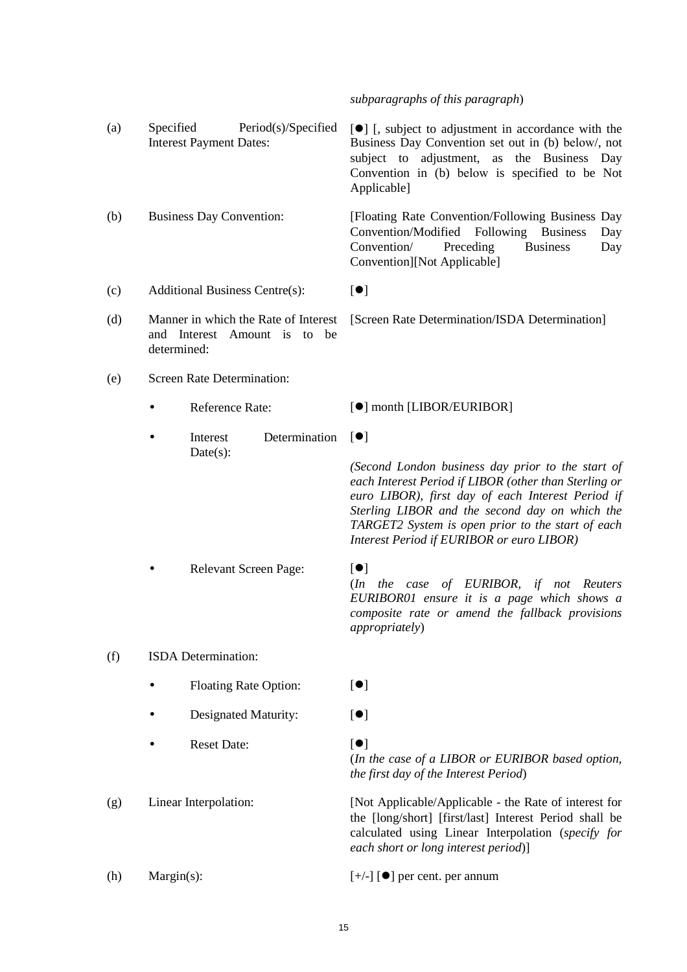*subparagraphs of this paragraph*)

| (a) | Specified                                                                           | Period(s)/Specified<br><b>Interest Payment Dates:</b> | [ <sup>•</sup> ] [, subject to adjustment in accordance with the<br>Business Day Convention set out in (b) below/, not<br>adjustment, as the Business Day<br>subject to<br>Convention in (b) below is specified to be Not<br>Applicable]                                                                            |
|-----|-------------------------------------------------------------------------------------|-------------------------------------------------------|---------------------------------------------------------------------------------------------------------------------------------------------------------------------------------------------------------------------------------------------------------------------------------------------------------------------|
| (b) | <b>Business Day Convention:</b>                                                     |                                                       | [Floating Rate Convention/Following Business Day<br>Convention/Modified Following Business<br>Day<br>Convention/<br>Preceding<br><b>Business</b><br>Day<br>Convention][Not Applicable]                                                                                                                              |
| (c) |                                                                                     | <b>Additional Business Centre(s):</b>                 | [•]                                                                                                                                                                                                                                                                                                                 |
| (d) | Manner in which the Rate of Interest<br>and Interest Amount is to be<br>determined: |                                                       | [Screen Rate Determination/ISDA Determination]                                                                                                                                                                                                                                                                      |
| (e) |                                                                                     | <b>Screen Rate Determination:</b>                     |                                                                                                                                                                                                                                                                                                                     |
|     |                                                                                     | Reference Rate:                                       | [ <sup>●</sup> ] month [LIBOR/EURIBOR]                                                                                                                                                                                                                                                                              |
|     | ٠                                                                                   | Determination<br>Interest                             | $\lbrack \bullet \rbrack$                                                                                                                                                                                                                                                                                           |
|     |                                                                                     | $Date(s)$ :                                           | (Second London business day prior to the start of<br>each Interest Period if LIBOR (other than Sterling or<br>euro LIBOR), first day of each Interest Period if<br>Sterling LIBOR and the second day on which the<br>TARGET2 System is open prior to the start of each<br>Interest Period if EURIBOR or euro LIBOR) |
|     | Relevant Screen Page:                                                               |                                                       | $\left[ \bullet \right]$<br>(In the case of EURIBOR, if not Reuters<br>EURIBOR01 ensure it is a page which shows a<br>composite rate or amend the fallback provisions<br>appropriately)                                                                                                                             |
| (f) |                                                                                     | ISDA Determination:                                   |                                                                                                                                                                                                                                                                                                                     |
|     |                                                                                     | <b>Floating Rate Option:</b>                          | $\lbrack \bullet \rbrack$                                                                                                                                                                                                                                                                                           |
|     |                                                                                     | Designated Maturity:                                  | $\left[ \bullet \right]$                                                                                                                                                                                                                                                                                            |
|     |                                                                                     | <b>Reset Date:</b>                                    | $\left[ \bullet \right]$<br>(In the case of a LIBOR or EURIBOR based option,<br>the first day of the Interest Period)                                                                                                                                                                                               |
| (g) |                                                                                     | Linear Interpolation:                                 | [Not Applicable/Applicable - the Rate of interest for<br>the [long/short] [first/last] Interest Period shall be<br>calculated using Linear Interpolation (specify for<br>each short or long interest period)]                                                                                                       |
| (h) | Margin(s):                                                                          |                                                       | $[+/$ ] [ $\bullet$ ] per cent. per annum                                                                                                                                                                                                                                                                           |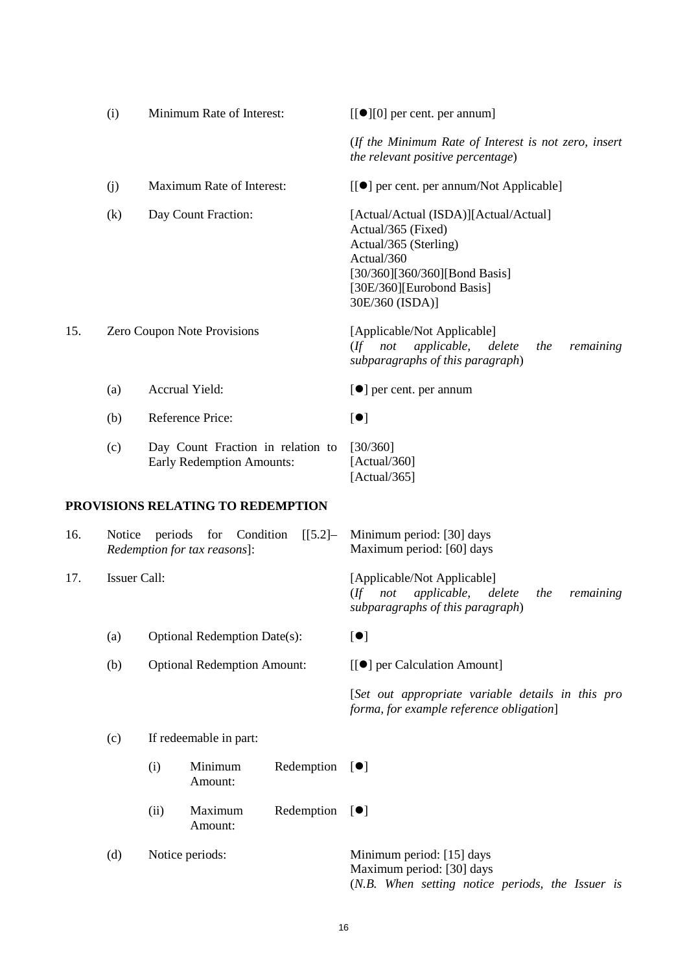|     | (i)                 |                                     | Minimum Rate of Interest:                                             |            | $[[\bullet][0]$ per cent. per annum]                                                                                                                                                |
|-----|---------------------|-------------------------------------|-----------------------------------------------------------------------|------------|-------------------------------------------------------------------------------------------------------------------------------------------------------------------------------------|
|     |                     |                                     |                                                                       |            | (If the Minimum Rate of Interest is not zero, insert<br>the relevant positive percentage)                                                                                           |
|     | (j)                 |                                     | Maximum Rate of Interest:                                             |            | [[●] per cent. per annum/Not Applicable]                                                                                                                                            |
|     | (k)                 |                                     | Day Count Fraction:                                                   |            | [Actual/Actual (ISDA)][Actual/Actual]<br>Actual/365 (Fixed)<br>Actual/365 (Sterling)<br>Actual/360<br>[30/360][360/360][Bond Basis]<br>[30E/360][Eurobond Basis]<br>30E/360 (ISDA)] |
| 15. |                     |                                     | Zero Coupon Note Provisions                                           |            | [Applicable/Not Applicable]<br>$($ f not<br>applicable,<br>delete<br>remaining<br>the<br>subparagraphs of this paragraph)                                                           |
|     | (a)                 |                                     | Accrual Yield:                                                        |            | $\left[\bullet\right]$ per cent. per annum                                                                                                                                          |
|     | (b)                 |                                     | Reference Price:                                                      |            | [•]                                                                                                                                                                                 |
|     | (c)                 |                                     | Day Count Fraction in relation to<br><b>Early Redemption Amounts:</b> |            | [30/360]<br>[ $Actual/360$ ]<br>[Actual/365]                                                                                                                                        |
|     |                     |                                     | PROVISIONS RELATING TO REDEMPTION                                     |            |                                                                                                                                                                                     |
| 16. | Notice              | periods                             | for<br>Condition<br>Redemption for tax reasons]:                      | $[[5.2] -$ | Minimum period: [30] days<br>Maximum period: [60] days                                                                                                                              |
| 17. | <b>Issuer Call:</b> |                                     |                                                                       |            | [Applicable/Not Applicable]<br>applicable,<br>$($ ff<br>not<br>delete<br>the<br>remaining<br>subparagraphs of this paragraph)                                                       |
|     | (a)                 | <b>Optional Redemption Date(s):</b> |                                                                       |            | [•]                                                                                                                                                                                 |
|     | (b)                 |                                     | <b>Optional Redemption Amount:</b>                                    |            | [[●] per Calculation Amount]                                                                                                                                                        |
|     |                     |                                     |                                                                       |            | [Set out appropriate variable details in this pro<br>forma, for example reference obligation]                                                                                       |
|     | (c)                 |                                     | If redeemable in part:                                                |            |                                                                                                                                                                                     |
|     |                     | (i)                                 | Minimum<br>Amount:                                                    | Redemption | $[\bullet]$                                                                                                                                                                         |
|     |                     | (ii)                                | Maximum<br>Amount:                                                    | Redemption | $\lbrack \bullet \rbrack$                                                                                                                                                           |
|     | (d)                 |                                     | Notice periods:                                                       |            | Minimum period: [15] days<br>Maximum period: [30] days<br>(N.B. When setting notice periods, the Issuer is                                                                          |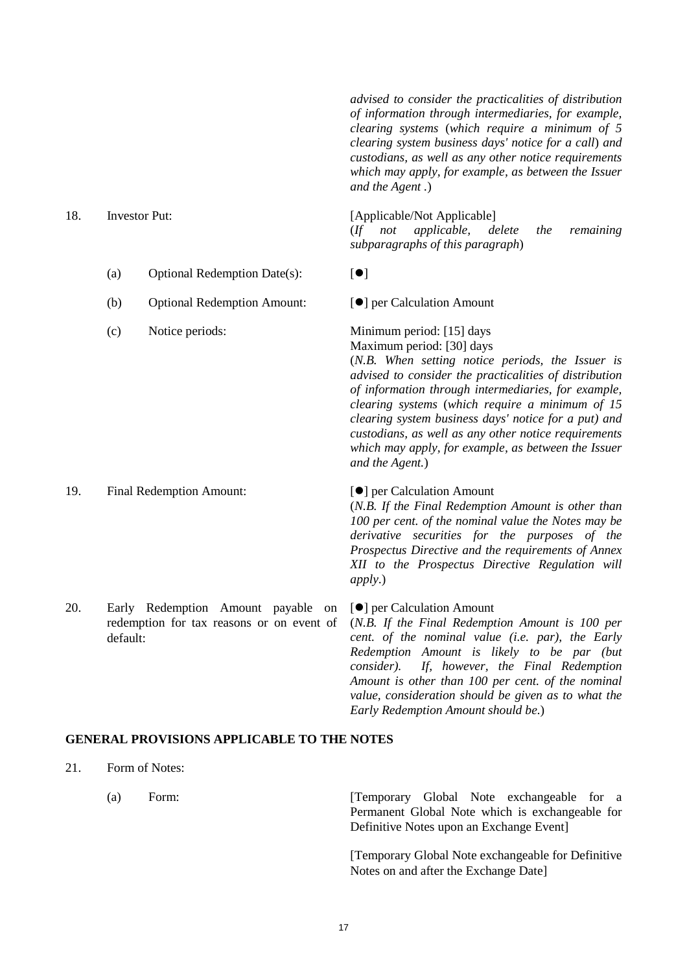*advised to consider the practicalities of distribution of information through intermediaries, for example, clearing systems* (*which require a minimum of 5 clearing system business days' notice for a call*) *and custodians, as well as any other notice requirements which may apply, for example, as between the Issuer and the Agent .*)

(a) Optional Redemption Date(s):  $[•]$ 

- (b) Optional Redemption Amount:  $\lceil \bullet \rceil$  per Calculation Amount
- 

#### 19. Final Redemption Amount: [O] per Calculation Amount

20. Early Redemption Amount payable on redemption for tax reasons or on event of default:

### 18. Investor Put: [Applicable/Not Applicable]

(*If not applicable, delete the remaining subparagraphs of this paragraph*)

(c) Notice periods: Minimum period: [15] days Maximum period: [30] days

> (*N.B. When setting notice periods, the Issuer is advised to consider the practicalities of distribution of information through intermediaries, for example, clearing systems* (*which require a minimum of 15 clearing system business days' notice for a put) and custodians, as well as any other notice requirements which may apply, for example, as between the Issuer and the Agent.*)

## (*N.B. If the Final Redemption Amount is other than 100 per cent. of the nominal value the Notes may be derivative securities for the purposes of the Prospectus Directive and the requirements of Annex*

*XII to the Prospectus Directive Regulation will apply.*)

#### [ $\bullet$ ] per Calculation Amount (*N.B. If the Final Redemption Amount is 100 per cent. of the nominal value (i.e. par), the Early Redemption Amount is likely to be par (but consider). If, however, the Final Redemption Amount is other than 100 per cent. of the nominal value, consideration should be given as to what the Early Redemption Amount should be.*)

## **GENERAL PROVISIONS APPLICABLE TO THE NOTES**

- 21. Form of Notes:
	-

(a) Form: [Temporary Global Note exchangeable for a Permanent Global Note which is exchangeable for Definitive Notes upon an Exchange Event]

> [Temporary Global Note exchangeable for Definitive Notes on and after the Exchange Date]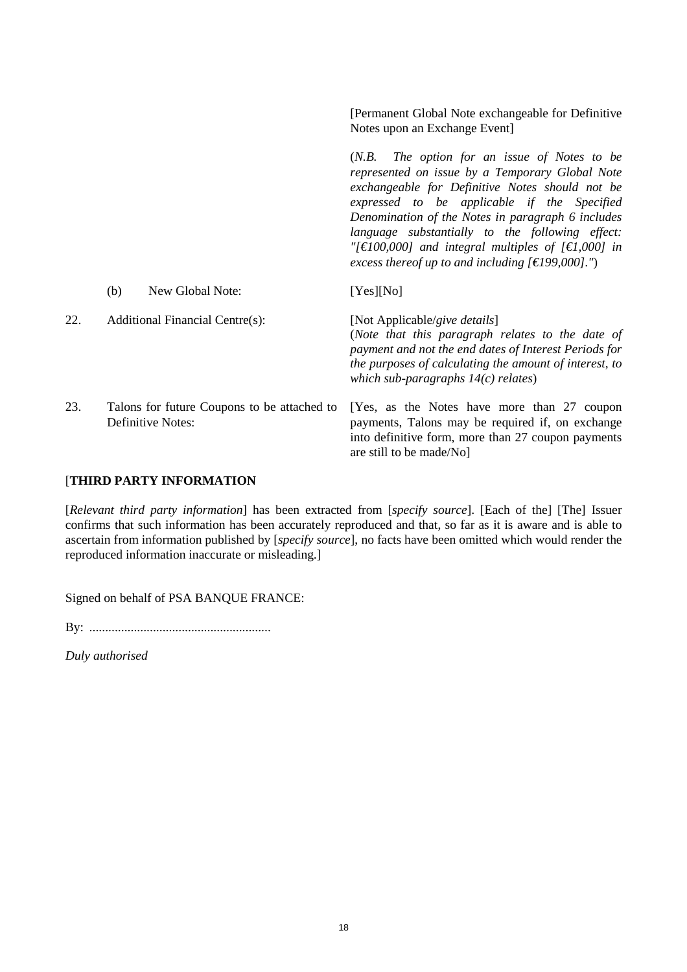|     |                                                                         | [Permanent Global Note exchangeable for Definitive<br>Notes upon an Exchange Event]                                                                                                                                                                                                                                                                                                                                                 |
|-----|-------------------------------------------------------------------------|-------------------------------------------------------------------------------------------------------------------------------------------------------------------------------------------------------------------------------------------------------------------------------------------------------------------------------------------------------------------------------------------------------------------------------------|
|     |                                                                         | $(N.B.$ The option for an issue of Notes to be<br>represented on issue by a Temporary Global Note<br>exchangeable for Definitive Notes should not be<br>expressed to be applicable if the Specified<br>Denomination of the Notes in paragraph 6 includes<br>language substantially to the following effect:<br>"[ $\in$ 100,000] and integral multiples of [ $\in$ 1,000] in<br>excess thereof up to and including $[€199,000]$ .") |
|     | New Global Note:<br>(b)                                                 | [Yes][No]                                                                                                                                                                                                                                                                                                                                                                                                                           |
| 22. | <b>Additional Financial Centre(s):</b>                                  | [Not Applicable/give details]<br>(Note that this paragraph relates to the date of<br>payment and not the end dates of Interest Periods for<br>the purposes of calculating the amount of interest, to<br>which sub-paragraphs $14(c)$ relates)                                                                                                                                                                                       |
| 23. | Talons for future Coupons to be attached to<br><b>Definitive Notes:</b> | [Yes, as the Notes have more than 27 coupon<br>payments, Talons may be required if, on exchange<br>into definitive form, more than 27 coupon payments<br>are still to be made/No]                                                                                                                                                                                                                                                   |

## [**THIRD PARTY INFORMATION**

[*Relevant third party information*] has been extracted from [*specify source*]. [Each of the] [The] Issuer confirms that such information has been accurately reproduced and that, so far as it is aware and is able to ascertain from information published by [*specify source*], no facts have been omitted which would render the reproduced information inaccurate or misleading.]

Signed on behalf of PSA BANQUE FRANCE:

By: .........................................................

*Duly authorised*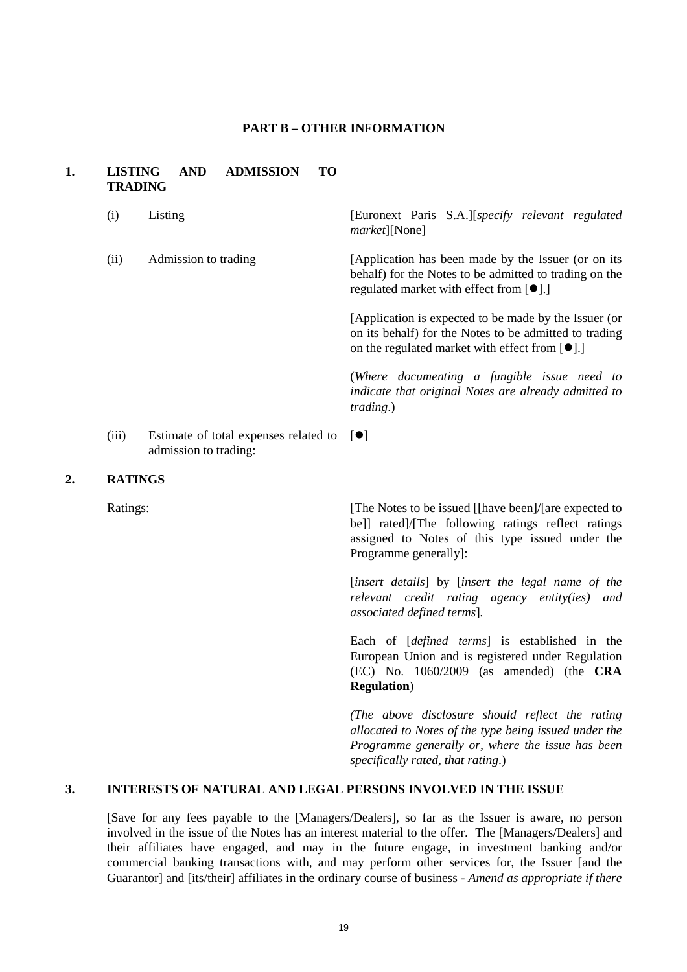#### **PART B – OTHER INFORMATION**

#### **1. LISTING AND ADMISSION TO TRADING**

| (i)   | Listing                                                                    | [Euronext Paris S.A.][specify relevant regulated<br><i>market</i> ][None]                                                                                                 |
|-------|----------------------------------------------------------------------------|---------------------------------------------------------------------------------------------------------------------------------------------------------------------------|
| (ii)  | Admission to trading                                                       | [Application has been made by the Issuer (or on its)<br>behalf) for the Notes to be admitted to trading on the<br>regulated market with effect from $[\bullet]$ .]        |
|       |                                                                            | [Application is expected to be made by the Issuer (or<br>on its behalf) for the Notes to be admitted to trading<br>on the regulated market with effect from $[\bullet]$ . |
|       |                                                                            | (Where documenting a fungible issue need to<br>indicate that original Notes are already admitted to<br><i>trading.</i> )                                                  |
| (iii) | Estimate of total expenses related to $[\bullet]$<br>admission to trading: |                                                                                                                                                                           |

#### **2. RATINGS**

Ratings: [The Notes to be issued [[have been]/[are expected to bell rated)/[The following ratings reflect ratings assigned to Notes of this type issued under the Programme generally]:

> [*insert details*] by [*insert the legal name of the relevant credit rating agency entity(ies) and associated defined terms*]*.*

> Each of [*defined terms*] is established in the European Union and is registered under Regulation (EC) No. 1060/2009 (as amended) (the **CRA Regulation**)

> *(The above disclosure should reflect the rating allocated to Notes of the type being issued under the Programme generally or, where the issue has been specifically rated, that rating*.)

## **3. INTERESTS OF NATURAL AND LEGAL PERSONS INVOLVED IN THE ISSUE**

[Save for any fees payable to the [Managers/Dealers], so far as the Issuer is aware, no person involved in the issue of the Notes has an interest material to the offer. The [Managers/Dealers] and their affiliates have engaged, and may in the future engage, in investment banking and/or commercial banking transactions with, and may perform other services for, the Issuer [and the Guarantor] and [its/their] affiliates in the ordinary course of business - *Amend as appropriate if there*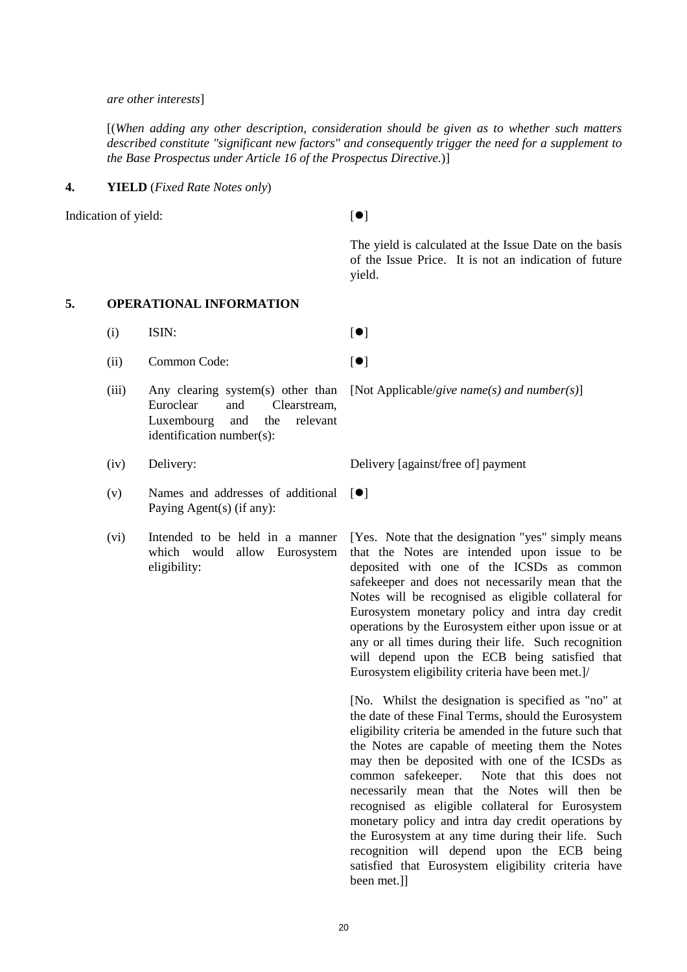#### *are other interests*]

[(*When adding any other description, consideration should be given as to whether such matters described constitute "significant new factors" and consequently trigger the need for a supplement to the Base Prospectus under Article 16 of the Prospectus Directive.*)]

#### **4. YIELD** (*Fixed Rate Notes only*)

Indication of yield:  $[\bullet]$ 

The yield is calculated at the Issue Date on the basis of the Issue Price. It is not an indication of future yield.

## **5. OPERATIONAL INFORMATION**

- (i) ISIN:  $[\bullet]$
- (ii) Common Code:  $\lceil \bullet \rceil$
- (iii) Any clearing system(s) other than Euroclear and Clearstream, Luxembourg and the relevant identification number(s):
- 
- (v) Names and addresses of additional Paying Agent(s) (if any):
- (vi) Intended to be held in a manner which would allow Eurosystem eligibility:

[Not Applicable/*give name(s) and number(s)*]

(iv) Delivery: Delivery [against/free of] payment

 $[$ 

[Yes. Note that the designation "yes" simply means that the Notes are intended upon issue to be deposited with one of the ICSDs as common safekeeper and does not necessarily mean that the Notes will be recognised as eligible collateral for Eurosystem monetary policy and intra day credit operations by the Eurosystem either upon issue or at any or all times during their life. Such recognition will depend upon the ECB being satisfied that Eurosystem eligibility criteria have been met.]/

[No. Whilst the designation is specified as "no" at the date of these Final Terms, should the Eurosystem eligibility criteria be amended in the future such that the Notes are capable of meeting them the Notes may then be deposited with one of the ICSDs as common safekeeper. Note that this does not necessarily mean that the Notes will then be recognised as eligible collateral for Eurosystem monetary policy and intra day credit operations by the Eurosystem at any time during their life. Such recognition will depend upon the ECB being satisfied that Eurosystem eligibility criteria have been met.]]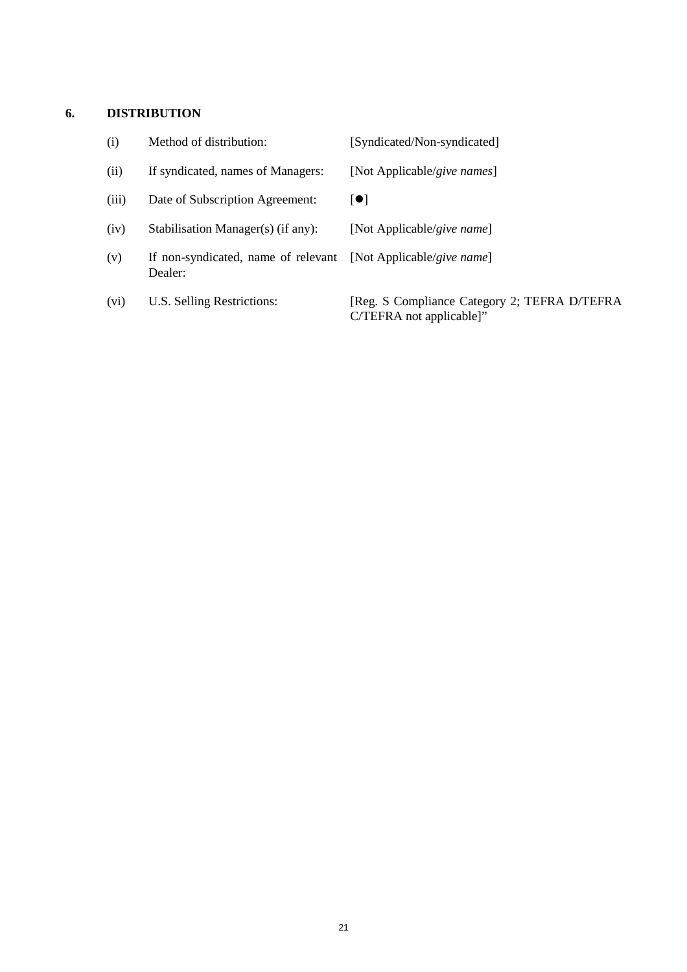## **6. DISTRIBUTION**

| (i)   | Method of distribution:                        | [Syndicated/Non-syndicated]                                              |
|-------|------------------------------------------------|--------------------------------------------------------------------------|
| (ii)  | If syndicated, names of Managers:              | [Not Applicable/give names]                                              |
| (iii) | Date of Subscription Agreement:                | $\bullet$                                                                |
| (iv)  | Stabilisation Manager(s) (if any):             | [Not Applicable/give name]                                               |
| (v)   | If non-syndicated, name of relevant<br>Dealer: | [Not Applicable/give name]                                               |
| (vi)  | U.S. Selling Restrictions:                     | [Reg. S Compliance Category 2; TEFRA D/TEFRA<br>C/TEFRA not applicable]" |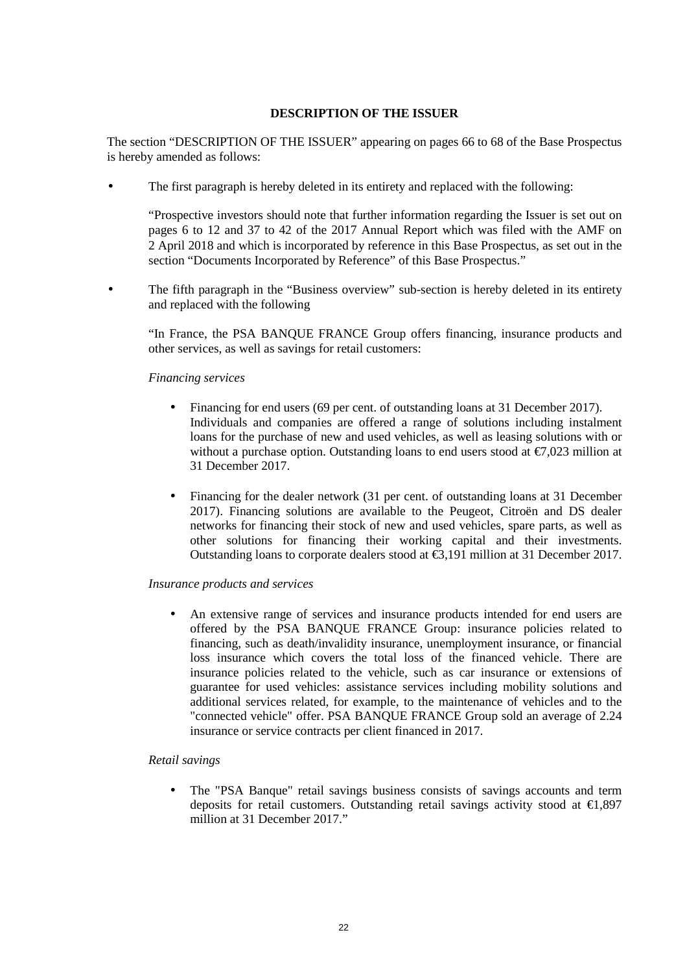### **DESCRIPTION OF THE ISSUER**

The section "DESCRIPTION OF THE ISSUER" appearing on pages 66 to 68 of the Base Prospectus is hereby amended as follows:

The first paragraph is hereby deleted in its entirety and replaced with the following:

"Prospective investors should note that further information regarding the Issuer is set out on pages 6 to 12 and 37 to 42 of the 2017 Annual Report which was filed with the AMF on 2 April 2018 and which is incorporated by reference in this Base Prospectus, as set out in the section "Documents Incorporated by Reference" of this Base Prospectus."

The fifth paragraph in the "Business overview" sub-section is hereby deleted in its entirety and replaced with the following

"In France, the PSA BANQUE FRANCE Group offers financing, insurance products and other services, as well as savings for retail customers:

#### *Financing services*

- Financing for end users (69 per cent. of outstanding loans at 31 December 2017). Individuals and companies are offered a range of solutions including instalment loans for the purchase of new and used vehicles, as well as leasing solutions with or without a purchase option. Outstanding loans to end users stood at  $\epsilon$ 7,023 million at 31 December 2017.
- Financing for the dealer network (31 per cent. of outstanding loans at 31 December 2017). Financing solutions are available to the Peugeot, Citroën and DS dealer networks for financing their stock of new and used vehicles, spare parts, as well as other solutions for financing their working capital and their investments. Outstanding loans to corporate dealers stood at €3,191 million at 31 December 2017.

#### *Insurance products and services*

• An extensive range of services and insurance products intended for end users are offered by the PSA BANQUE FRANCE Group: insurance policies related to financing, such as death/invalidity insurance, unemployment insurance, or financial loss insurance which covers the total loss of the financed vehicle. There are insurance policies related to the vehicle, such as car insurance or extensions of guarantee for used vehicles: assistance services including mobility solutions and additional services related, for example, to the maintenance of vehicles and to the "connected vehicle" offer. PSA BANQUE FRANCE Group sold an average of 2.24 insurance or service contracts per client financed in 2017.

#### *Retail savings*

• The "PSA Banque" retail savings business consists of savings accounts and term deposits for retail customers. Outstanding retail savings activity stood at  $\epsilon$ 1,897 million at 31 December 2017."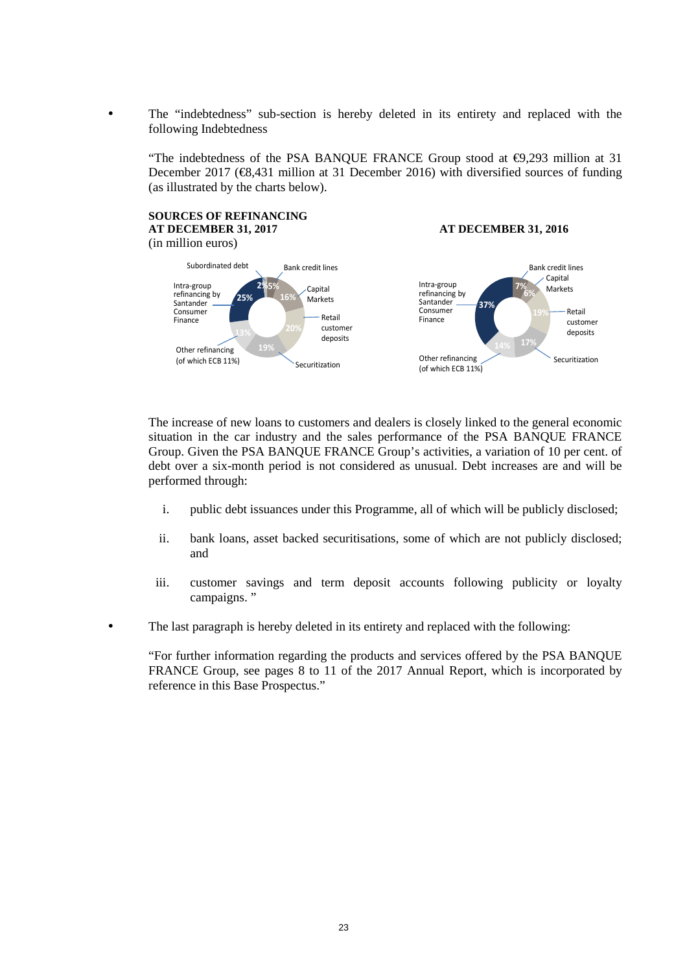• The "indebtedness" sub-section is hereby deleted in its entirety and replaced with the following Indebtedness

"The indebtedness of the PSA BANQUE FRANCE Group stood at  $\epsilon$ 9,293 million at 31 December 2017 ( $\epsilon$ 8,431 million at 31 December 2016) with diversified sources of funding (as illustrated by the charts below).

#### **SOURCES OF REFINANCING AT DECEMBER 31, 2017 AT DECEMBER 31, 2016** (in million euros) **5% 16% 19% 13% 25% 2%** Subordinated debt Bank credit lines Capital Markets Retail customer deposits Other refinancing (of which ECB 11%) Intra-group refinancing by Santander Consumer **Finance** Securitization **7% 6% 14% 17% 37%** Bank credit lines Capital Markets Retail customer deposits Other refinancing (of which ECB 11%) Intra-group refinancing by **Santander** Consumer Finance Securitization

The increase of new loans to customers and dealers is closely linked to the general economic situation in the car industry and the sales performance of the PSA BANQUE FRANCE Group. Given the PSA BANQUE FRANCE Group's activities, a variation of 10 per cent. of debt over a six-month period is not considered as unusual. Debt increases are and will be performed through:

- i. public debt issuances under this Programme, all of which will be publicly disclosed;
- ii. bank loans, asset backed securitisations, some of which are not publicly disclosed; and
- iii. customer savings and term deposit accounts following publicity or loyalty campaigns. "
- The last paragraph is hereby deleted in its entirety and replaced with the following:

"For further information regarding the products and services offered by the PSA BANQUE FRANCE Group, see pages 8 to 11 of the 2017 Annual Report, which is incorporated by reference in this Base Prospectus."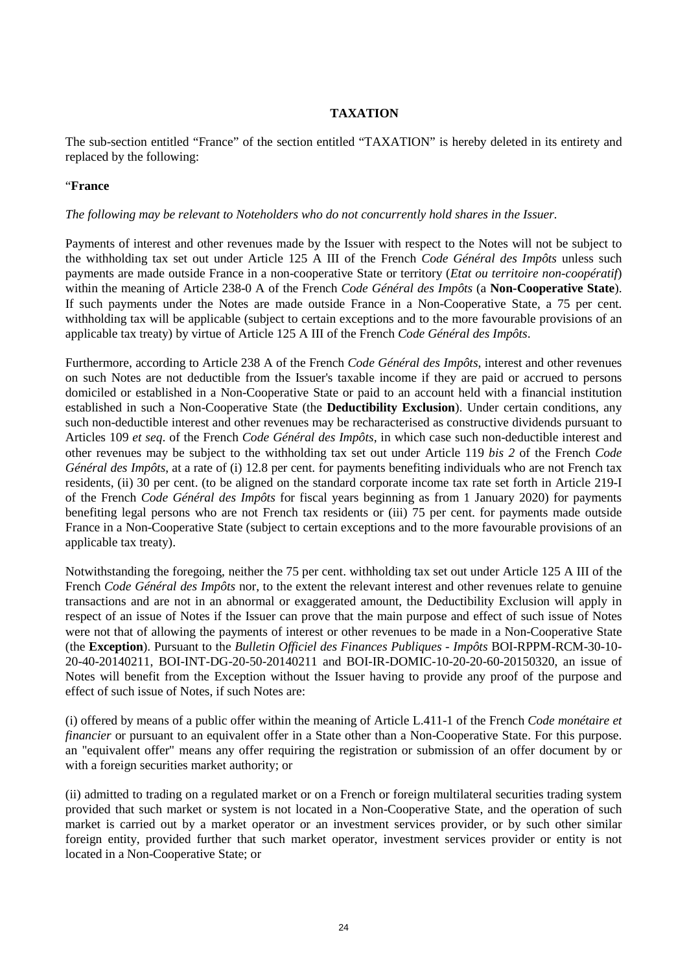## **TAXATION**

The sub-section entitled "France" of the section entitled "TAXATION" is hereby deleted in its entirety and replaced by the following:

#### "**France**

#### *The following may be relevant to Noteholders who do not concurrently hold shares in the Issuer.*

Payments of interest and other revenues made by the Issuer with respect to the Notes will not be subject to the withholding tax set out under Article 125 A III of the French *Code Général des Impôts* unless such payments are made outside France in a non-cooperative State or territory (*Etat ou territoire non-coopératif*) within the meaning of Article 238-0 A of the French *Code Général des Impôts* (a **Non-Cooperative State**). If such payments under the Notes are made outside France in a Non-Cooperative State, a 75 per cent. withholding tax will be applicable (subject to certain exceptions and to the more favourable provisions of an applicable tax treaty) by virtue of Article 125 A III of the French *Code Général des Impôts*.

Furthermore, according to Article 238 A of the French *Code Général des Impôts*, interest and other revenues on such Notes are not deductible from the Issuer's taxable income if they are paid or accrued to persons domiciled or established in a Non-Cooperative State or paid to an account held with a financial institution established in such a Non-Cooperative State (the **Deductibility Exclusion**). Under certain conditions, any such non-deductible interest and other revenues may be recharacterised as constructive dividends pursuant to Articles 109 *et seq*. of the French *Code Général des Impôts*, in which case such non-deductible interest and other revenues may be subject to the withholding tax set out under Article 119 *bis 2* of the French *Code Général des Impôts*, at a rate of (i) 12.8 per cent. for payments benefiting individuals who are not French tax residents, (ii) 30 per cent. (to be aligned on the standard corporate income tax rate set forth in Article 219-I of the French *Code Général des Impôts* for fiscal years beginning as from 1 January 2020) for payments benefiting legal persons who are not French tax residents or (iii) 75 per cent. for payments made outside France in a Non-Cooperative State (subject to certain exceptions and to the more favourable provisions of an applicable tax treaty).

Notwithstanding the foregoing, neither the 75 per cent. withholding tax set out under Article 125 A III of the French *Code Général des Impôts* nor, to the extent the relevant interest and other revenues relate to genuine transactions and are not in an abnormal or exaggerated amount, the Deductibility Exclusion will apply in respect of an issue of Notes if the Issuer can prove that the main purpose and effect of such issue of Notes were not that of allowing the payments of interest or other revenues to be made in a Non-Cooperative State (the **Exception**). Pursuant to the *Bulletin Officiel des Finances Publiques - Impôts* BOI-RPPM-RCM-30-10- 20-40-20140211, BOI-INT-DG-20-50-20140211 and BOI-IR-DOMIC-10-20-20-60-20150320, an issue of Notes will benefit from the Exception without the Issuer having to provide any proof of the purpose and effect of such issue of Notes, if such Notes are:

(i) offered by means of a public offer within the meaning of Article L.411-1 of the French *Code monétaire et financier* or pursuant to an equivalent offer in a State other than a Non-Cooperative State. For this purpose. an "equivalent offer" means any offer requiring the registration or submission of an offer document by or with a foreign securities market authority; or

(ii) admitted to trading on a regulated market or on a French or foreign multilateral securities trading system provided that such market or system is not located in a Non-Cooperative State, and the operation of such market is carried out by a market operator or an investment services provider, or by such other similar foreign entity, provided further that such market operator, investment services provider or entity is not located in a Non-Cooperative State; or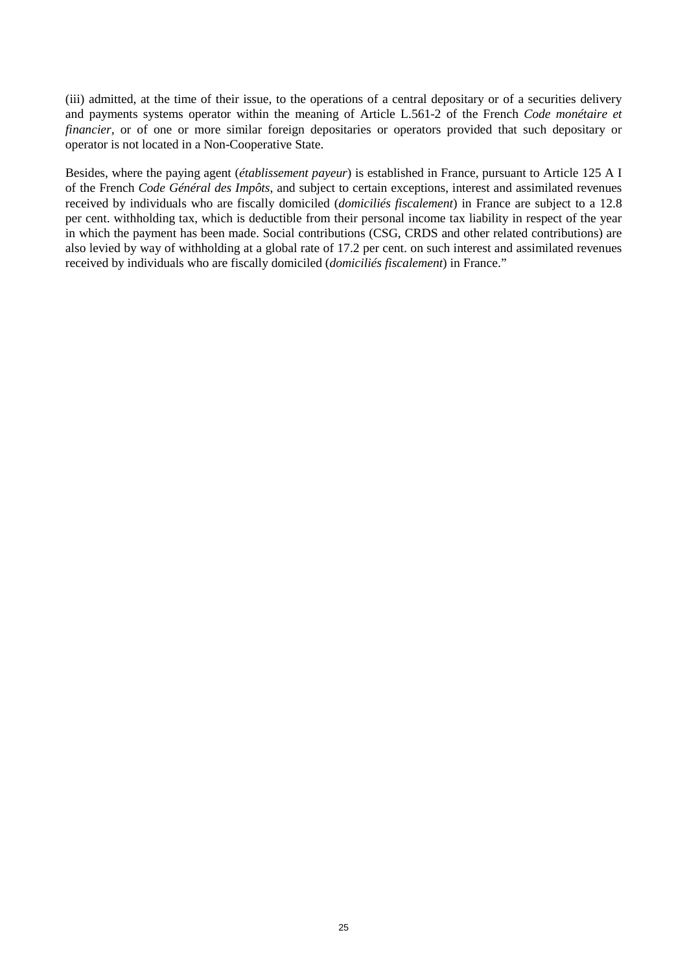(iii) admitted, at the time of their issue, to the operations of a central depositary or of a securities delivery and payments systems operator within the meaning of Article L.561-2 of the French *Code monétaire et financier*, or of one or more similar foreign depositaries or operators provided that such depositary or operator is not located in a Non-Cooperative State.

Besides, where the paying agent (*établissement payeur*) is established in France, pursuant to Article 125 A I of the French *Code Général des Impôts*, and subject to certain exceptions, interest and assimilated revenues received by individuals who are fiscally domiciled (*domiciliés fiscalement*) in France are subject to a 12.8 per cent. withholding tax, which is deductible from their personal income tax liability in respect of the year in which the payment has been made. Social contributions (CSG, CRDS and other related contributions) are also levied by way of withholding at a global rate of 17.2 per cent. on such interest and assimilated revenues received by individuals who are fiscally domiciled (*domiciliés fiscalement*) in France."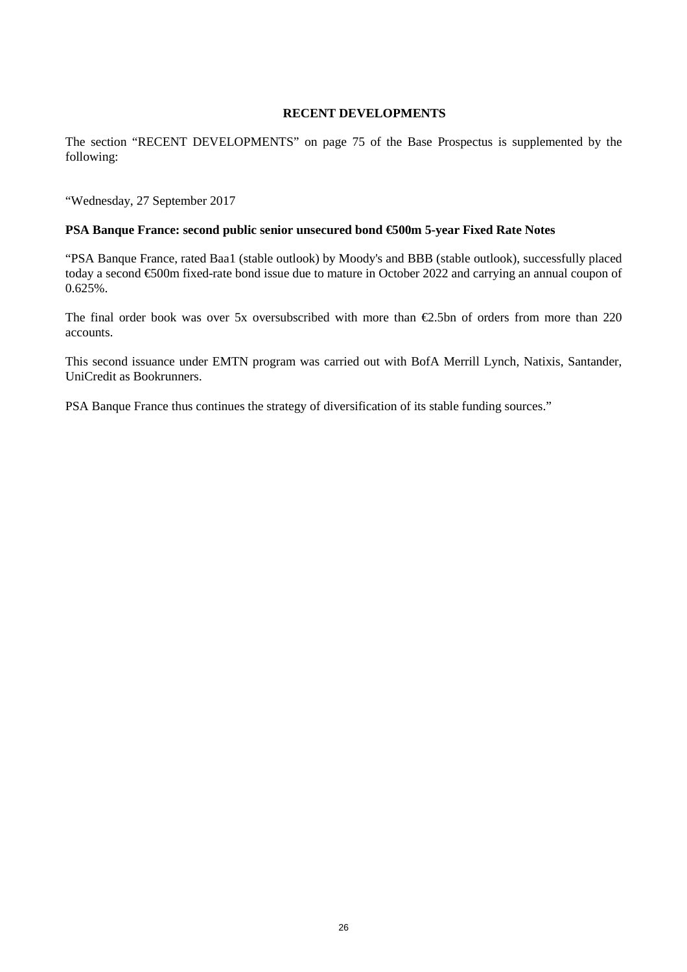#### **RECENT DEVELOPMENTS**

The section "RECENT DEVELOPMENTS" on page 75 of the Base Prospectus is supplemented by the following:

"Wednesday, 27 September 2017

#### **PSA Banque France: second public senior unsecured bond €500m 5-year Fixed Rate Notes**

"PSA Banque France, rated Baa1 (stable outlook) by Moody's and BBB (stable outlook), successfully placed today a second €500m fixed-rate bond issue due to mature in October 2022 and carrying an annual coupon of  $0.625%$ .

The final order book was over 5x oversubscribed with more than  $\epsilon$ 2.5bn of orders from more than 220 accounts.

This second issuance under EMTN program was carried out with BofA Merrill Lynch, Natixis, Santander, UniCredit as Bookrunners.

PSA Banque France thus continues the strategy of diversification of its stable funding sources."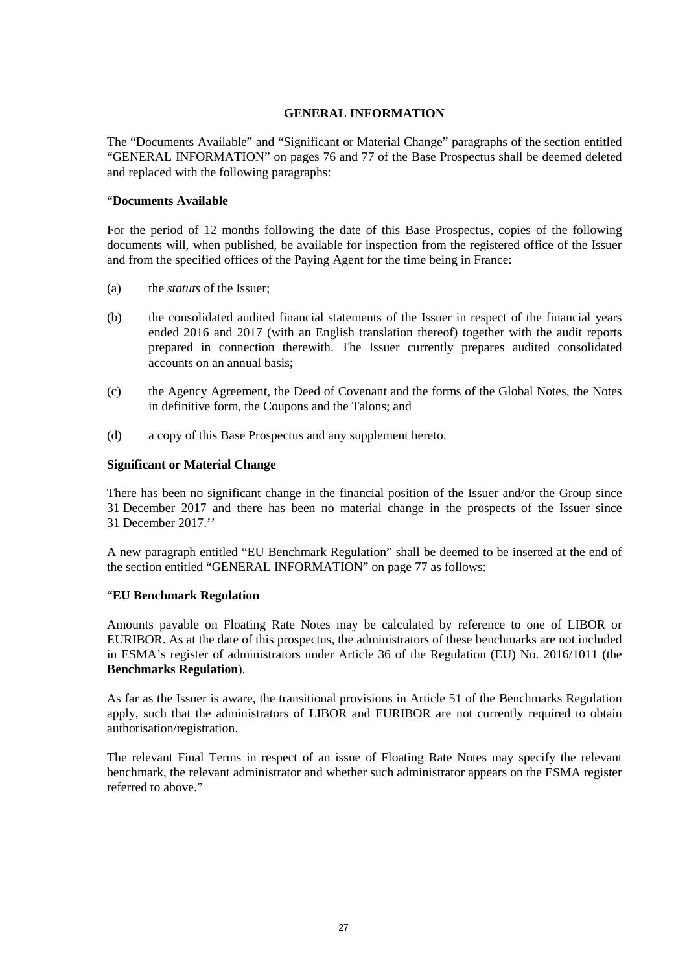### **GENERAL INFORMATION**

The "Documents Available" and "Significant or Material Change" paragraphs of the section entitled "GENERAL INFORMATION" on pages 76 and 77 of the Base Prospectus shall be deemed deleted and replaced with the following paragraphs:

#### "**Documents Available**

For the period of 12 months following the date of this Base Prospectus, copies of the following documents will, when published, be available for inspection from the registered office of the Issuer and from the specified offices of the Paying Agent for the time being in France:

- (a) the *statuts* of the Issuer;
- (b) the consolidated audited financial statements of the Issuer in respect of the financial years ended 2016 and 2017 (with an English translation thereof) together with the audit reports prepared in connection therewith. The Issuer currently prepares audited consolidated accounts on an annual basis;
- (c) the Agency Agreement, the Deed of Covenant and the forms of the Global Notes, the Notes in definitive form, the Coupons and the Talons; and
- (d) a copy of this Base Prospectus and any supplement hereto.

#### **Significant or Material Change**

There has been no significant change in the financial position of the Issuer and/or the Group since 31 December 2017 and there has been no material change in the prospects of the Issuer since 31 December 2017.''

A new paragraph entitled "EU Benchmark Regulation" shall be deemed to be inserted at the end of the section entitled "GENERAL INFORMATION" on page 77 as follows:

#### "**EU Benchmark Regulation**

Amounts payable on Floating Rate Notes may be calculated by reference to one of LIBOR or EURIBOR. As at the date of this prospectus, the administrators of these benchmarks are not included in ESMA's register of administrators under Article 36 of the Regulation (EU) No. 2016/1011 (the **Benchmarks Regulation**).

As far as the Issuer is aware, the transitional provisions in Article 51 of the Benchmarks Regulation apply, such that the administrators of LIBOR and EURIBOR are not currently required to obtain authorisation/registration.

The relevant Final Terms in respect of an issue of Floating Rate Notes may specify the relevant benchmark, the relevant administrator and whether such administrator appears on the ESMA register referred to above."